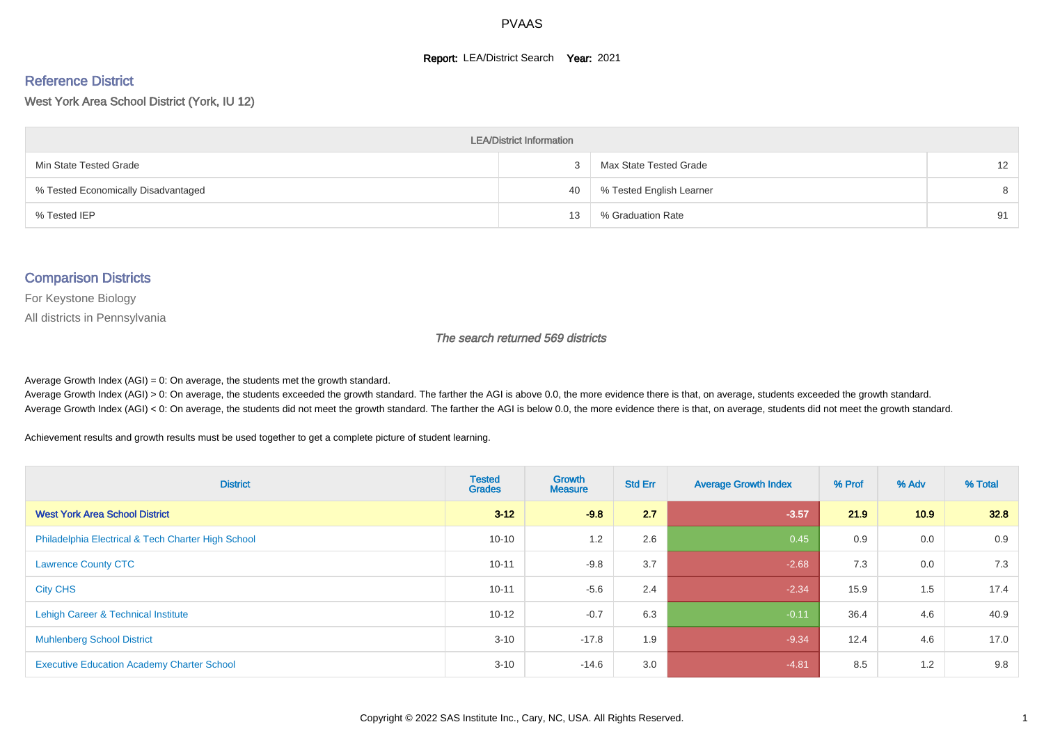#### **Report: LEA/District Search Year: 2021**

#### Reference District

West York Area School District (York, IU 12)

| <b>LEA/District Information</b>     |    |                          |                   |  |  |  |  |  |  |
|-------------------------------------|----|--------------------------|-------------------|--|--|--|--|--|--|
| Min State Tested Grade              |    | Max State Tested Grade   | $12 \overline{ }$ |  |  |  |  |  |  |
| % Tested Economically Disadvantaged | 40 | % Tested English Learner | 8                 |  |  |  |  |  |  |
| % Tested IEP                        | 13 | % Graduation Rate        | 91                |  |  |  |  |  |  |

#### Comparison Districts

For Keystone Biology

All districts in Pennsylvania

The search returned 569 districts

Average Growth Index  $(AGI) = 0$ : On average, the students met the growth standard.

Average Growth Index (AGI) > 0: On average, the students exceeded the growth standard. The farther the AGI is above 0.0, the more evidence there is that, on average, students exceeded the growth standard. Average Growth Index (AGI) < 0: On average, the students did not meet the growth standard. The farther the AGI is below 0.0, the more evidence there is that, on average, students did not meet the growth standard.

Achievement results and growth results must be used together to get a complete picture of student learning.

| <b>District</b>                                    | <b>Tested</b><br><b>Grades</b> | Growth<br><b>Measure</b> | <b>Std Err</b> | <b>Average Growth Index</b> | % Prof | % Adv | % Total |
|----------------------------------------------------|--------------------------------|--------------------------|----------------|-----------------------------|--------|-------|---------|
| <b>West York Area School District</b>              | $3 - 12$                       | $-9.8$                   | 2.7            | $-3.57$                     | 21.9   | 10.9  | 32.8    |
| Philadelphia Electrical & Tech Charter High School | $10 - 10$                      | 1.2                      | 2.6            | 0.45                        | 0.9    | 0.0   | 0.9     |
| <b>Lawrence County CTC</b>                         | $10 - 11$                      | $-9.8$                   | 3.7            | $-2.68$                     | 7.3    | 0.0   | 7.3     |
| <b>City CHS</b>                                    | $10 - 11$                      | $-5.6$                   | 2.4            | $-2.34$                     | 15.9   | 1.5   | 17.4    |
| Lehigh Career & Technical Institute                | $10 - 12$                      | $-0.7$                   | 6.3            | $-0.11$                     | 36.4   | 4.6   | 40.9    |
| <b>Muhlenberg School District</b>                  | $3 - 10$                       | $-17.8$                  | 1.9            | $-9.34$                     | 12.4   | 4.6   | 17.0    |
| <b>Executive Education Academy Charter School</b>  | $3 - 10$                       | $-14.6$                  | 3.0            | $-4.81$                     | 8.5    | 1.2   | 9.8     |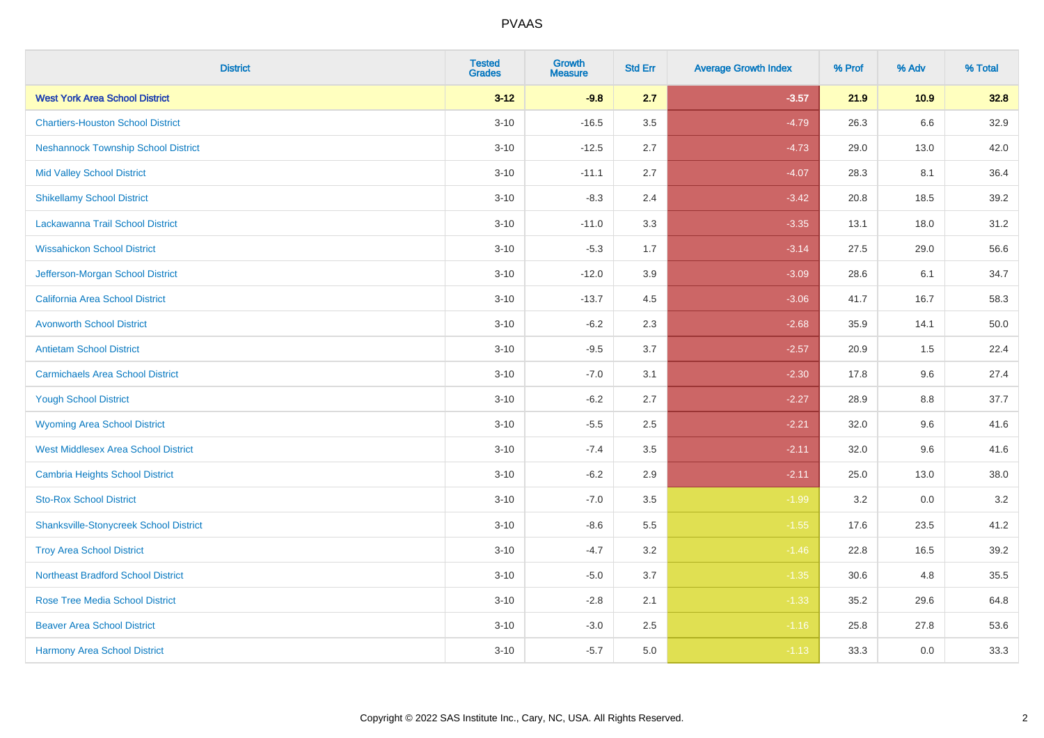| <b>District</b>                               | <b>Tested</b><br><b>Grades</b> | <b>Growth</b><br><b>Measure</b> | <b>Std Err</b> | <b>Average Growth Index</b> | % Prof | % Adv | % Total |
|-----------------------------------------------|--------------------------------|---------------------------------|----------------|-----------------------------|--------|-------|---------|
| <b>West York Area School District</b>         | $3 - 12$                       | $-9.8$                          | 2.7            | $-3.57$                     | 21.9   | 10.9  | 32.8    |
| <b>Chartiers-Houston School District</b>      | $3 - 10$                       | $-16.5$                         | 3.5            | $-4.79$                     | 26.3   | 6.6   | 32.9    |
| <b>Neshannock Township School District</b>    | $3 - 10$                       | $-12.5$                         | 2.7            | $-4.73$                     | 29.0   | 13.0  | 42.0    |
| <b>Mid Valley School District</b>             | $3 - 10$                       | $-11.1$                         | 2.7            | $-4.07$                     | 28.3   | 8.1   | 36.4    |
| <b>Shikellamy School District</b>             | $3 - 10$                       | $-8.3$                          | 2.4            | $-3.42$                     | 20.8   | 18.5  | 39.2    |
| Lackawanna Trail School District              | $3 - 10$                       | $-11.0$                         | 3.3            | $-3.35$                     | 13.1   | 18.0  | 31.2    |
| <b>Wissahickon School District</b>            | $3 - 10$                       | $-5.3$                          | 1.7            | $-3.14$                     | 27.5   | 29.0  | 56.6    |
| Jefferson-Morgan School District              | $3 - 10$                       | $-12.0$                         | 3.9            | $-3.09$                     | 28.6   | 6.1   | 34.7    |
| <b>California Area School District</b>        | $3 - 10$                       | $-13.7$                         | 4.5            | $-3.06$                     | 41.7   | 16.7  | 58.3    |
| <b>Avonworth School District</b>              | $3 - 10$                       | $-6.2$                          | 2.3            | $-2.68$                     | 35.9   | 14.1  | 50.0    |
| <b>Antietam School District</b>               | $3 - 10$                       | $-9.5$                          | 3.7            | $-2.57$                     | 20.9   | 1.5   | 22.4    |
| <b>Carmichaels Area School District</b>       | $3 - 10$                       | $-7.0$                          | 3.1            | $-2.30$                     | 17.8   | 9.6   | 27.4    |
| <b>Yough School District</b>                  | $3 - 10$                       | $-6.2$                          | 2.7            | $-2.27$                     | 28.9   | 8.8   | 37.7    |
| <b>Wyoming Area School District</b>           | $3 - 10$                       | $-5.5$                          | 2.5            | $-2.21$                     | 32.0   | 9.6   | 41.6    |
| <b>West Middlesex Area School District</b>    | $3 - 10$                       | $-7.4$                          | 3.5            | $-2.11$                     | 32.0   | 9.6   | 41.6    |
| <b>Cambria Heights School District</b>        | $3 - 10$                       | $-6.2$                          | 2.9            | $-2.11$                     | 25.0   | 13.0  | 38.0    |
| <b>Sto-Rox School District</b>                | $3 - 10$                       | $-7.0$                          | 3.5            | $-1.99$                     | 3.2    | 0.0   | $3.2\,$ |
| <b>Shanksville-Stonycreek School District</b> | $3 - 10$                       | $-8.6$                          | 5.5            | $-1.55$                     | 17.6   | 23.5  | 41.2    |
| <b>Troy Area School District</b>              | $3 - 10$                       | $-4.7$                          | 3.2            | $-1.46$                     | 22.8   | 16.5  | 39.2    |
| <b>Northeast Bradford School District</b>     | $3 - 10$                       | $-5.0$                          | 3.7            | $-1.35$                     | 30.6   | 4.8   | 35.5    |
| <b>Rose Tree Media School District</b>        | $3 - 10$                       | $-2.8$                          | 2.1            | $-1.33$                     | 35.2   | 29.6  | 64.8    |
| <b>Beaver Area School District</b>            | $3 - 10$                       | $-3.0$                          | 2.5            | $-1.16$                     | 25.8   | 27.8  | 53.6    |
| <b>Harmony Area School District</b>           | $3 - 10$                       | $-5.7$                          | 5.0            | $-1.13$                     | 33.3   | 0.0   | 33.3    |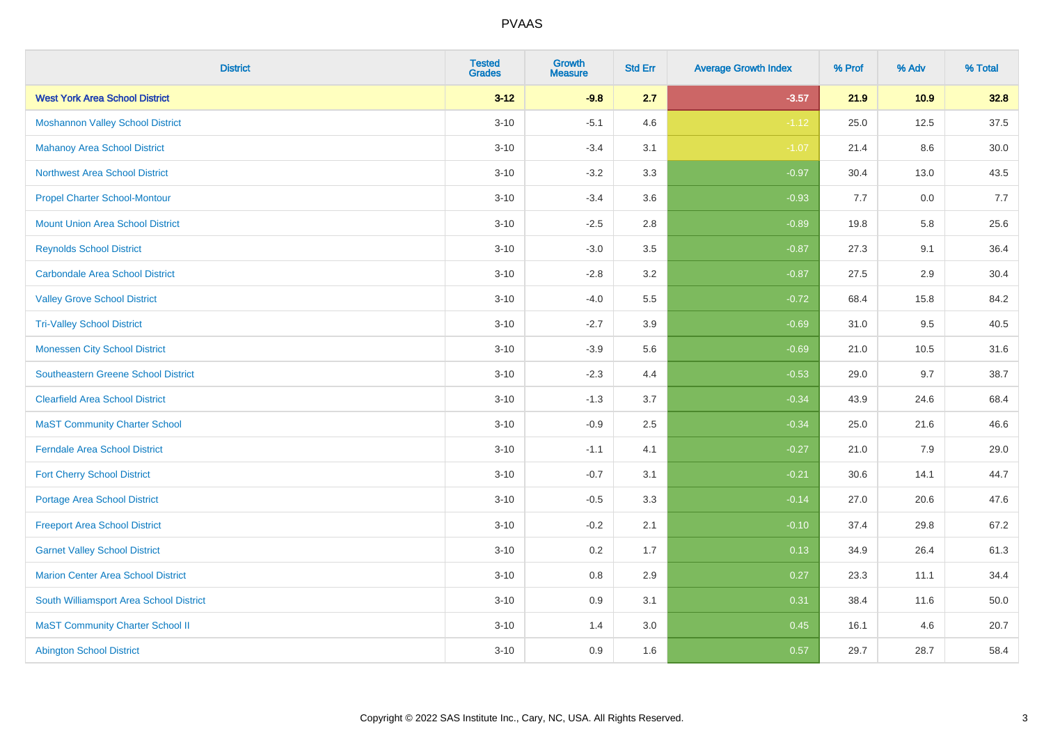| <b>District</b>                            | <b>Tested</b><br><b>Grades</b> | <b>Growth</b><br><b>Measure</b> | <b>Std Err</b> | <b>Average Growth Index</b> | % Prof | % Adv | % Total  |
|--------------------------------------------|--------------------------------|---------------------------------|----------------|-----------------------------|--------|-------|----------|
| <b>West York Area School District</b>      | $3 - 12$                       | $-9.8$                          | 2.7            | $-3.57$                     | 21.9   | 10.9  | 32.8     |
| <b>Moshannon Valley School District</b>    | $3 - 10$                       | $-5.1$                          | 4.6            | $-1.12$                     | 25.0   | 12.5  | 37.5     |
| <b>Mahanoy Area School District</b>        | $3 - 10$                       | $-3.4$                          | 3.1            | $-1.07$                     | 21.4   | 8.6   | $30.0\,$ |
| <b>Northwest Area School District</b>      | $3 - 10$                       | $-3.2$                          | 3.3            | $-0.97$                     | 30.4   | 13.0  | 43.5     |
| <b>Propel Charter School-Montour</b>       | $3 - 10$                       | $-3.4$                          | 3.6            | $-0.93$                     | 7.7    | 0.0   | 7.7      |
| <b>Mount Union Area School District</b>    | $3 - 10$                       | $-2.5$                          | 2.8            | $-0.89$                     | 19.8   | 5.8   | 25.6     |
| <b>Reynolds School District</b>            | $3 - 10$                       | $-3.0$                          | 3.5            | $-0.87$                     | 27.3   | 9.1   | 36.4     |
| <b>Carbondale Area School District</b>     | $3 - 10$                       | $-2.8$                          | 3.2            | $-0.87$                     | 27.5   | 2.9   | 30.4     |
| <b>Valley Grove School District</b>        | $3 - 10$                       | $-4.0$                          | 5.5            | $-0.72$                     | 68.4   | 15.8  | 84.2     |
| <b>Tri-Valley School District</b>          | $3 - 10$                       | $-2.7$                          | 3.9            | $-0.69$                     | 31.0   | 9.5   | 40.5     |
| <b>Monessen City School District</b>       | $3 - 10$                       | $-3.9$                          | 5.6            | $-0.69$                     | 21.0   | 10.5  | 31.6     |
| <b>Southeastern Greene School District</b> | $3 - 10$                       | $-2.3$                          | 4.4            | $-0.53$                     | 29.0   | 9.7   | 38.7     |
| <b>Clearfield Area School District</b>     | $3 - 10$                       | $-1.3$                          | 3.7            | $-0.34$                     | 43.9   | 24.6  | 68.4     |
| <b>MaST Community Charter School</b>       | $3 - 10$                       | $-0.9$                          | 2.5            | $-0.34$                     | 25.0   | 21.6  | 46.6     |
| <b>Ferndale Area School District</b>       | $3 - 10$                       | $-1.1$                          | 4.1            | $-0.27$                     | 21.0   | 7.9   | 29.0     |
| <b>Fort Cherry School District</b>         | $3 - 10$                       | $-0.7$                          | 3.1            | $-0.21$                     | 30.6   | 14.1  | 44.7     |
| Portage Area School District               | $3 - 10$                       | $-0.5$                          | 3.3            | $-0.14$                     | 27.0   | 20.6  | 47.6     |
| <b>Freeport Area School District</b>       | $3 - 10$                       | $-0.2$                          | 2.1            | $-0.10$                     | 37.4   | 29.8  | 67.2     |
| <b>Garnet Valley School District</b>       | $3 - 10$                       | 0.2                             | 1.7            | 0.13                        | 34.9   | 26.4  | 61.3     |
| <b>Marion Center Area School District</b>  | $3 - 10$                       | 0.8                             | 2.9            | 0.27                        | 23.3   | 11.1  | 34.4     |
| South Williamsport Area School District    | $3 - 10$                       | 0.9                             | 3.1            | 0.31                        | 38.4   | 11.6  | 50.0     |
| <b>MaST Community Charter School II</b>    | $3 - 10$                       | 1.4                             | 3.0            | 0.45                        | 16.1   | 4.6   | 20.7     |
| <b>Abington School District</b>            | $3 - 10$                       | 0.9                             | 1.6            | 0.57                        | 29.7   | 28.7  | 58.4     |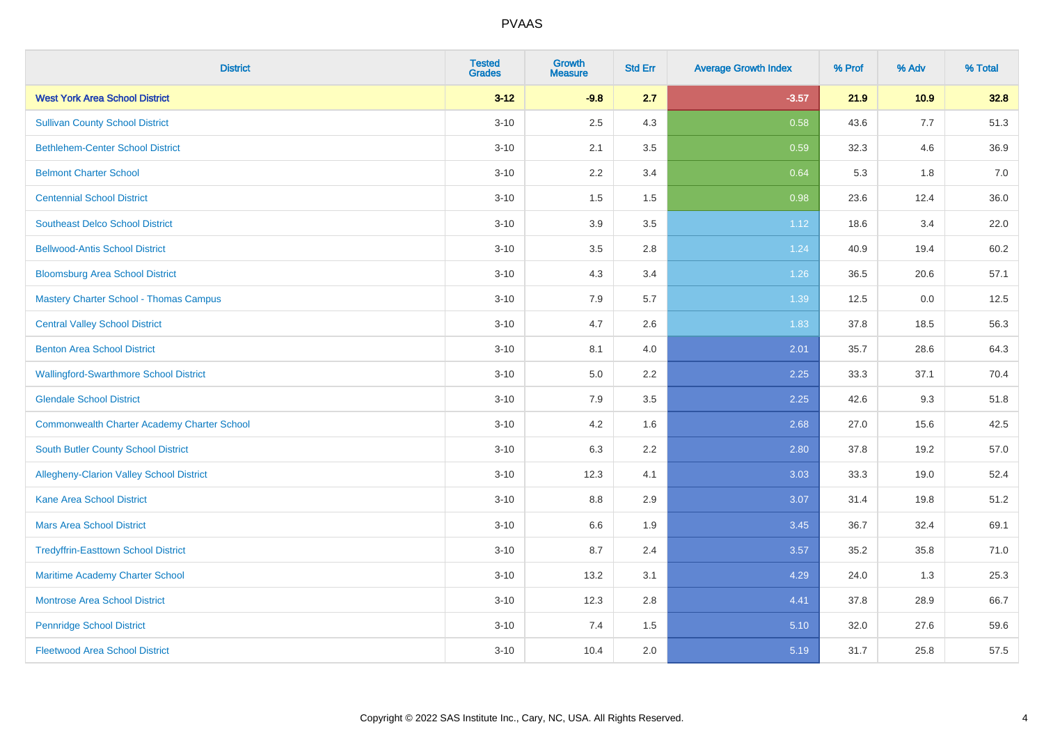| <b>District</b>                                    | <b>Tested</b><br><b>Grades</b> | <b>Growth</b><br><b>Measure</b> | <b>Std Err</b> | <b>Average Growth Index</b> | % Prof | % Adv | % Total |
|----------------------------------------------------|--------------------------------|---------------------------------|----------------|-----------------------------|--------|-------|---------|
| <b>West York Area School District</b>              | $3 - 12$                       | $-9.8$                          | 2.7            | $-3.57$                     | 21.9   | 10.9  | 32.8    |
| <b>Sullivan County School District</b>             | $3 - 10$                       | 2.5                             | 4.3            | 0.58                        | 43.6   | 7.7   | 51.3    |
| <b>Bethlehem-Center School District</b>            | $3 - 10$                       | 2.1                             | 3.5            | 0.59                        | 32.3   | 4.6   | 36.9    |
| <b>Belmont Charter School</b>                      | $3 - 10$                       | 2.2                             | 3.4            | 0.64                        | 5.3    | 1.8   | 7.0     |
| <b>Centennial School District</b>                  | $3 - 10$                       | 1.5                             | 1.5            | 0.98                        | 23.6   | 12.4  | 36.0    |
| <b>Southeast Delco School District</b>             | $3 - 10$                       | 3.9                             | 3.5            | 1.12                        | 18.6   | 3.4   | 22.0    |
| <b>Bellwood-Antis School District</b>              | $3 - 10$                       | 3.5                             | 2.8            | 1.24                        | 40.9   | 19.4  | 60.2    |
| <b>Bloomsburg Area School District</b>             | $3 - 10$                       | 4.3                             | 3.4            | 1.26                        | 36.5   | 20.6  | 57.1    |
| <b>Mastery Charter School - Thomas Campus</b>      | $3 - 10$                       | 7.9                             | 5.7            | 1.39                        | 12.5   | 0.0   | 12.5    |
| <b>Central Valley School District</b>              | $3 - 10$                       | 4.7                             | 2.6            | 1.83                        | 37.8   | 18.5  | 56.3    |
| <b>Benton Area School District</b>                 | $3 - 10$                       | 8.1                             | 4.0            | 2.01                        | 35.7   | 28.6  | 64.3    |
| <b>Wallingford-Swarthmore School District</b>      | $3 - 10$                       | 5.0                             | 2.2            | 2.25                        | 33.3   | 37.1  | 70.4    |
| <b>Glendale School District</b>                    | $3 - 10$                       | 7.9                             | 3.5            | 2.25                        | 42.6   | 9.3   | 51.8    |
| <b>Commonwealth Charter Academy Charter School</b> | $3 - 10$                       | 4.2                             | 1.6            | 2.68                        | 27.0   | 15.6  | 42.5    |
| South Butler County School District                | $3 - 10$                       | 6.3                             | 2.2            | 2.80                        | 37.8   | 19.2  | 57.0    |
| Allegheny-Clarion Valley School District           | $3 - 10$                       | 12.3                            | 4.1            | 3.03                        | 33.3   | 19.0  | 52.4    |
| <b>Kane Area School District</b>                   | $3 - 10$                       | 8.8                             | 2.9            | 3.07                        | 31.4   | 19.8  | 51.2    |
| <b>Mars Area School District</b>                   | $3 - 10$                       | 6.6                             | 1.9            | 3.45                        | 36.7   | 32.4  | 69.1    |
| <b>Tredyffrin-Easttown School District</b>         | $3 - 10$                       | 8.7                             | 2.4            | 3.57                        | 35.2   | 35.8  | 71.0    |
| Maritime Academy Charter School                    | $3 - 10$                       | 13.2                            | 3.1            | 4.29                        | 24.0   | 1.3   | 25.3    |
| <b>Montrose Area School District</b>               | $3 - 10$                       | 12.3                            | 2.8            | 4.41                        | 37.8   | 28.9  | 66.7    |
| <b>Pennridge School District</b>                   | $3 - 10$                       | 7.4                             | 1.5            | 5.10                        | 32.0   | 27.6  | 59.6    |
| <b>Fleetwood Area School District</b>              | $3 - 10$                       | 10.4                            | 2.0            | 5.19                        | 31.7   | 25.8  | 57.5    |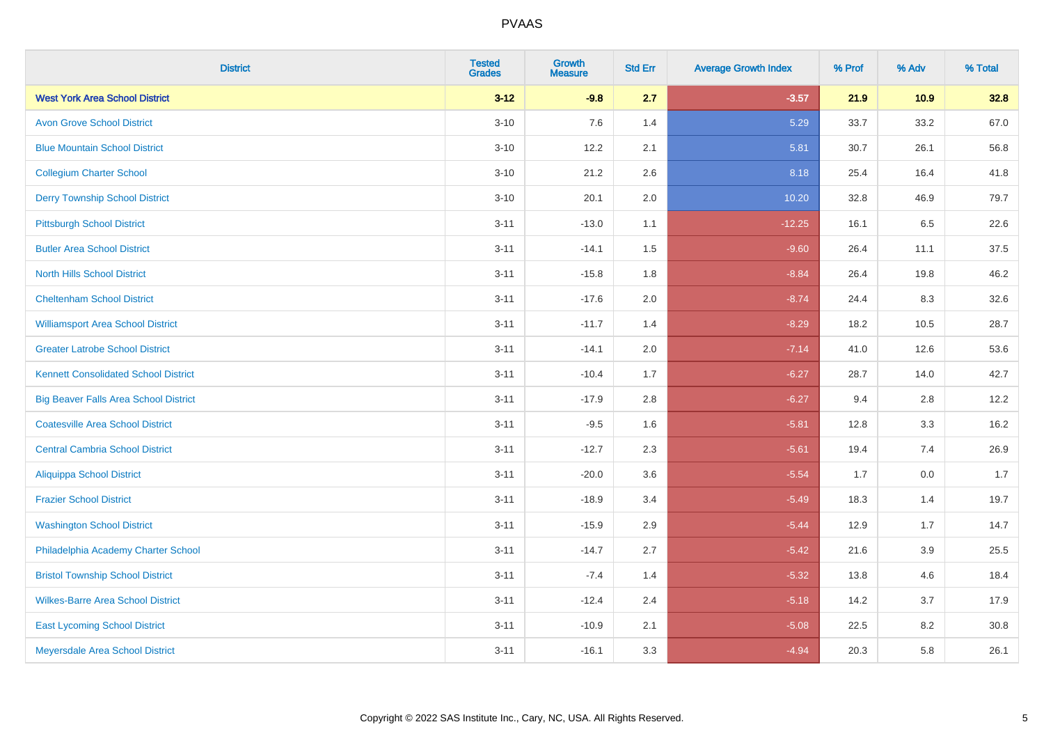| <b>District</b>                              | <b>Tested</b><br><b>Grades</b> | <b>Growth</b><br><b>Measure</b> | <b>Std Err</b> | <b>Average Growth Index</b> | % Prof | % Adv | % Total |
|----------------------------------------------|--------------------------------|---------------------------------|----------------|-----------------------------|--------|-------|---------|
| <b>West York Area School District</b>        | $3 - 12$                       | $-9.8$                          | 2.7            | $-3.57$                     | 21.9   | 10.9  | 32.8    |
| <b>Avon Grove School District</b>            | $3 - 10$                       | 7.6                             | 1.4            | 5.29                        | 33.7   | 33.2  | 67.0    |
| <b>Blue Mountain School District</b>         | $3 - 10$                       | 12.2                            | 2.1            | 5.81                        | 30.7   | 26.1  | 56.8    |
| <b>Collegium Charter School</b>              | $3 - 10$                       | 21.2                            | 2.6            | 8.18                        | 25.4   | 16.4  | 41.8    |
| <b>Derry Township School District</b>        | $3 - 10$                       | 20.1                            | 2.0            | 10.20                       | 32.8   | 46.9  | 79.7    |
| <b>Pittsburgh School District</b>            | $3 - 11$                       | $-13.0$                         | 1.1            | $-12.25$                    | 16.1   | 6.5   | 22.6    |
| <b>Butler Area School District</b>           | $3 - 11$                       | $-14.1$                         | 1.5            | $-9.60$                     | 26.4   | 11.1  | 37.5    |
| <b>North Hills School District</b>           | $3 - 11$                       | $-15.8$                         | 1.8            | $-8.84$                     | 26.4   | 19.8  | 46.2    |
| <b>Cheltenham School District</b>            | $3 - 11$                       | $-17.6$                         | 2.0            | $-8.74$                     | 24.4   | 8.3   | 32.6    |
| <b>Williamsport Area School District</b>     | $3 - 11$                       | $-11.7$                         | 1.4            | $-8.29$                     | 18.2   | 10.5  | 28.7    |
| <b>Greater Latrobe School District</b>       | $3 - 11$                       | $-14.1$                         | 2.0            | $-7.14$                     | 41.0   | 12.6  | 53.6    |
| <b>Kennett Consolidated School District</b>  | $3 - 11$                       | $-10.4$                         | 1.7            | $-6.27$                     | 28.7   | 14.0  | 42.7    |
| <b>Big Beaver Falls Area School District</b> | $3 - 11$                       | $-17.9$                         | 2.8            | $-6.27$                     | 9.4    | 2.8   | 12.2    |
| <b>Coatesville Area School District</b>      | $3 - 11$                       | $-9.5$                          | 1.6            | $-5.81$                     | 12.8   | 3.3   | 16.2    |
| <b>Central Cambria School District</b>       | $3 - 11$                       | $-12.7$                         | 2.3            | $-5.61$                     | 19.4   | 7.4   | 26.9    |
| <b>Aliquippa School District</b>             | $3 - 11$                       | $-20.0$                         | 3.6            | $-5.54$                     | 1.7    | 0.0   | 1.7     |
| <b>Frazier School District</b>               | $3 - 11$                       | $-18.9$                         | 3.4            | $-5.49$                     | 18.3   | 1.4   | 19.7    |
| <b>Washington School District</b>            | $3 - 11$                       | $-15.9$                         | 2.9            | $-5.44$                     | 12.9   | 1.7   | 14.7    |
| Philadelphia Academy Charter School          | $3 - 11$                       | $-14.7$                         | 2.7            | $-5.42$                     | 21.6   | 3.9   | 25.5    |
| <b>Bristol Township School District</b>      | $3 - 11$                       | $-7.4$                          | 1.4            | $-5.32$                     | 13.8   | 4.6   | 18.4    |
| <b>Wilkes-Barre Area School District</b>     | $3 - 11$                       | $-12.4$                         | 2.4            | $-5.18$                     | 14.2   | 3.7   | 17.9    |
| <b>East Lycoming School District</b>         | $3 - 11$                       | $-10.9$                         | 2.1            | $-5.08$                     | 22.5   | 8.2   | 30.8    |
| Meyersdale Area School District              | $3 - 11$                       | $-16.1$                         | 3.3            | $-4.94$                     | 20.3   | 5.8   | 26.1    |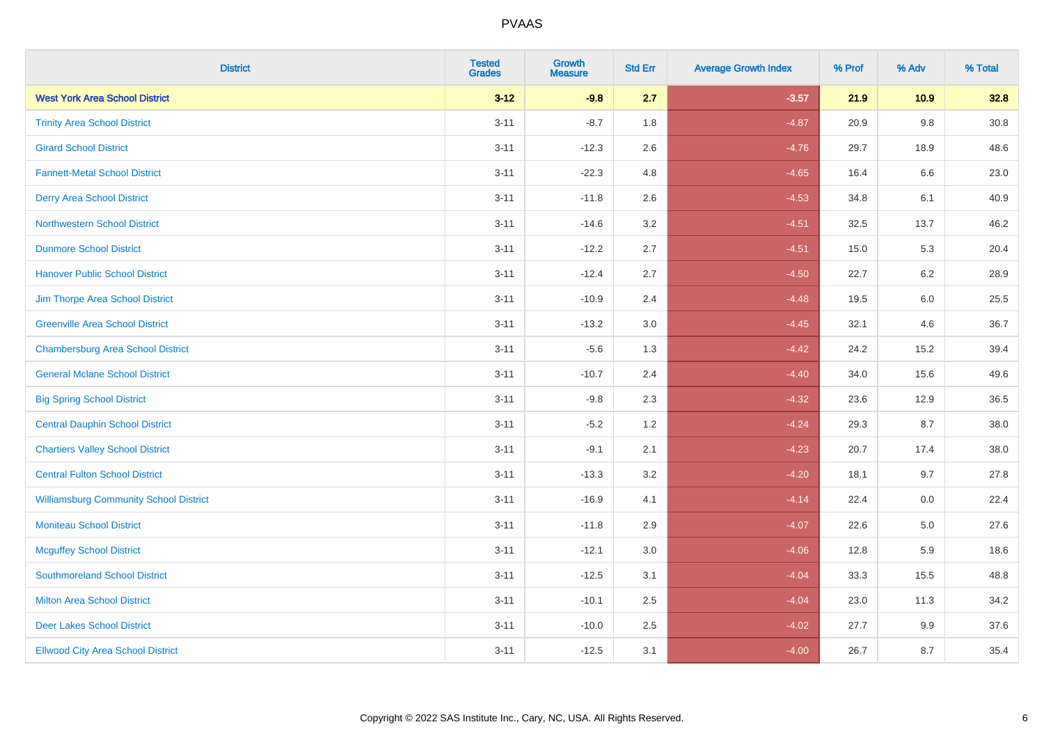| <b>District</b>                               | <b>Tested</b><br><b>Grades</b> | <b>Growth</b><br><b>Measure</b> | <b>Std Err</b> | <b>Average Growth Index</b> | % Prof | % Adv   | % Total |
|-----------------------------------------------|--------------------------------|---------------------------------|----------------|-----------------------------|--------|---------|---------|
| <b>West York Area School District</b>         | $3 - 12$                       | $-9.8$                          | 2.7            | $-3.57$                     | 21.9   | 10.9    | 32.8    |
| <b>Trinity Area School District</b>           | $3 - 11$                       | $-8.7$                          | 1.8            | $-4.87$                     | 20.9   | $9.8\,$ | 30.8    |
| <b>Girard School District</b>                 | $3 - 11$                       | $-12.3$                         | 2.6            | $-4.76$                     | 29.7   | 18.9    | 48.6    |
| <b>Fannett-Metal School District</b>          | $3 - 11$                       | $-22.3$                         | 4.8            | $-4.65$                     | 16.4   | 6.6     | 23.0    |
| <b>Derry Area School District</b>             | $3 - 11$                       | $-11.8$                         | 2.6            | $-4.53$                     | 34.8   | 6.1     | 40.9    |
| <b>Northwestern School District</b>           | $3 - 11$                       | $-14.6$                         | 3.2            | $-4.51$                     | 32.5   | 13.7    | 46.2    |
| <b>Dunmore School District</b>                | $3 - 11$                       | $-12.2$                         | 2.7            | $-4.51$                     | 15.0   | 5.3     | 20.4    |
| <b>Hanover Public School District</b>         | $3 - 11$                       | $-12.4$                         | 2.7            | $-4.50$                     | 22.7   | 6.2     | 28.9    |
| Jim Thorpe Area School District               | $3 - 11$                       | $-10.9$                         | 2.4            | $-4.48$                     | 19.5   | 6.0     | 25.5    |
| <b>Greenville Area School District</b>        | $3 - 11$                       | $-13.2$                         | $3.0\,$        | $-4.45$                     | 32.1   | 4.6     | 36.7    |
| <b>Chambersburg Area School District</b>      | $3 - 11$                       | $-5.6$                          | 1.3            | $-4.42$                     | 24.2   | 15.2    | 39.4    |
| <b>General Mclane School District</b>         | $3 - 11$                       | $-10.7$                         | 2.4            | $-4.40$                     | 34.0   | 15.6    | 49.6    |
| <b>Big Spring School District</b>             | $3 - 11$                       | $-9.8$                          | 2.3            | $-4.32$                     | 23.6   | 12.9    | 36.5    |
| <b>Central Dauphin School District</b>        | $3 - 11$                       | $-5.2$                          | 1.2            | $-4.24$                     | 29.3   | 8.7     | 38.0    |
| <b>Chartiers Valley School District</b>       | $3 - 11$                       | $-9.1$                          | 2.1            | $-4.23$                     | 20.7   | 17.4    | 38.0    |
| <b>Central Fulton School District</b>         | $3 - 11$                       | $-13.3$                         | 3.2            | $-4.20$                     | 18.1   | 9.7     | 27.8    |
| <b>Williamsburg Community School District</b> | $3 - 11$                       | $-16.9$                         | 4.1            | $-4.14$                     | 22.4   | 0.0     | 22.4    |
| <b>Moniteau School District</b>               | $3 - 11$                       | $-11.8$                         | 2.9            | $-4.07$                     | 22.6   | 5.0     | 27.6    |
| <b>Mcguffey School District</b>               | $3 - 11$                       | $-12.1$                         | 3.0            | $-4.06$                     | 12.8   | 5.9     | 18.6    |
| <b>Southmoreland School District</b>          | $3 - 11$                       | $-12.5$                         | 3.1            | $-4.04$                     | 33.3   | 15.5    | 48.8    |
| <b>Milton Area School District</b>            | $3 - 11$                       | $-10.1$                         | 2.5            | $-4.04$                     | 23.0   | 11.3    | 34.2    |
| <b>Deer Lakes School District</b>             | $3 - 11$                       | $-10.0$                         | 2.5            | $-4.02$                     | 27.7   | 9.9     | 37.6    |
| <b>Ellwood City Area School District</b>      | $3 - 11$                       | $-12.5$                         | 3.1            | $-4.00$                     | 26.7   | 8.7     | 35.4    |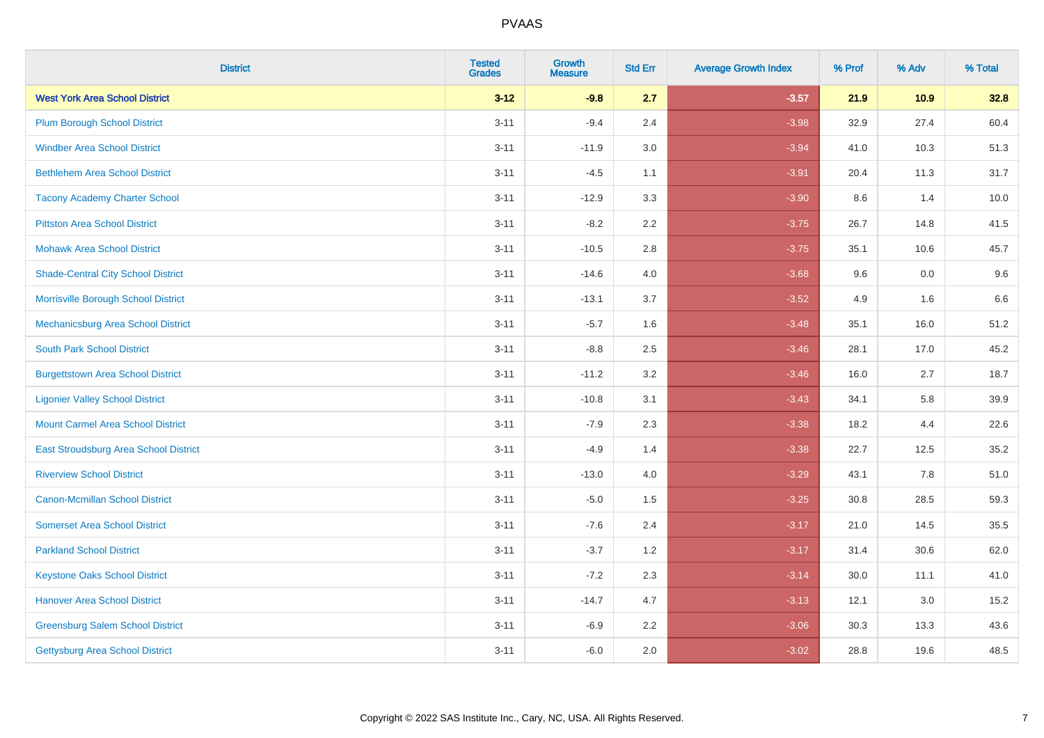| <b>District</b>                           | <b>Tested</b><br><b>Grades</b> | <b>Growth</b><br><b>Measure</b> | <b>Std Err</b> | <b>Average Growth Index</b> | % Prof | % Adv | % Total |
|-------------------------------------------|--------------------------------|---------------------------------|----------------|-----------------------------|--------|-------|---------|
| <b>West York Area School District</b>     | $3 - 12$                       | $-9.8$                          | 2.7            | $-3.57$                     | 21.9   | 10.9  | 32.8    |
| <b>Plum Borough School District</b>       | $3 - 11$                       | $-9.4$                          | 2.4            | $-3.98$                     | 32.9   | 27.4  | 60.4    |
| <b>Windber Area School District</b>       | $3 - 11$                       | $-11.9$                         | 3.0            | $-3.94$                     | 41.0   | 10.3  | 51.3    |
| <b>Bethlehem Area School District</b>     | $3 - 11$                       | $-4.5$                          | 1.1            | $-3.91$                     | 20.4   | 11.3  | 31.7    |
| <b>Tacony Academy Charter School</b>      | $3 - 11$                       | $-12.9$                         | 3.3            | $-3.90$                     | 8.6    | 1.4   | 10.0    |
| <b>Pittston Area School District</b>      | $3 - 11$                       | $-8.2$                          | 2.2            | $-3.75$                     | 26.7   | 14.8  | 41.5    |
| <b>Mohawk Area School District</b>        | $3 - 11$                       | $-10.5$                         | 2.8            | $-3.75$                     | 35.1   | 10.6  | 45.7    |
| <b>Shade-Central City School District</b> | $3 - 11$                       | $-14.6$                         | 4.0            | $-3.68$                     | 9.6    | 0.0   | 9.6     |
| Morrisville Borough School District       | $3 - 11$                       | $-13.1$                         | 3.7            | $-3.52$                     | 4.9    | 1.6   | 6.6     |
| Mechanicsburg Area School District        | $3 - 11$                       | $-5.7$                          | 1.6            | $-3.48$                     | 35.1   | 16.0  | 51.2    |
| <b>South Park School District</b>         | $3 - 11$                       | $-8.8$                          | 2.5            | $-3.46$                     | 28.1   | 17.0  | 45.2    |
| <b>Burgettstown Area School District</b>  | $3 - 11$                       | $-11.2$                         | 3.2            | $-3.46$                     | 16.0   | 2.7   | 18.7    |
| <b>Ligonier Valley School District</b>    | $3 - 11$                       | $-10.8$                         | 3.1            | $-3.43$                     | 34.1   | 5.8   | 39.9    |
| <b>Mount Carmel Area School District</b>  | $3 - 11$                       | $-7.9$                          | 2.3            | $-3.38$                     | 18.2   | 4.4   | 22.6    |
| East Stroudsburg Area School District     | $3 - 11$                       | $-4.9$                          | 1.4            | $-3.38$                     | 22.7   | 12.5  | 35.2    |
| <b>Riverview School District</b>          | $3 - 11$                       | $-13.0$                         | 4.0            | $-3.29$                     | 43.1   | 7.8   | 51.0    |
| <b>Canon-Mcmillan School District</b>     | $3 - 11$                       | $-5.0$                          | 1.5            | $-3.25$                     | 30.8   | 28.5  | 59.3    |
| <b>Somerset Area School District</b>      | $3 - 11$                       | $-7.6$                          | 2.4            | $-3.17$                     | 21.0   | 14.5  | 35.5    |
| <b>Parkland School District</b>           | $3 - 11$                       | $-3.7$                          | 1.2            | $-3.17$                     | 31.4   | 30.6  | 62.0    |
| <b>Keystone Oaks School District</b>      | $3 - 11$                       | $-7.2$                          | 2.3            | $-3.14$                     | 30.0   | 11.1  | 41.0    |
| <b>Hanover Area School District</b>       | $3 - 11$                       | $-14.7$                         | 4.7            | $-3.13$                     | 12.1   | 3.0   | 15.2    |
| <b>Greensburg Salem School District</b>   | $3 - 11$                       | $-6.9$                          | 2.2            | $-3.06$                     | 30.3   | 13.3  | 43.6    |
| <b>Gettysburg Area School District</b>    | $3 - 11$                       | $-6.0$                          | 2.0            | $-3.02$                     | 28.8   | 19.6  | 48.5    |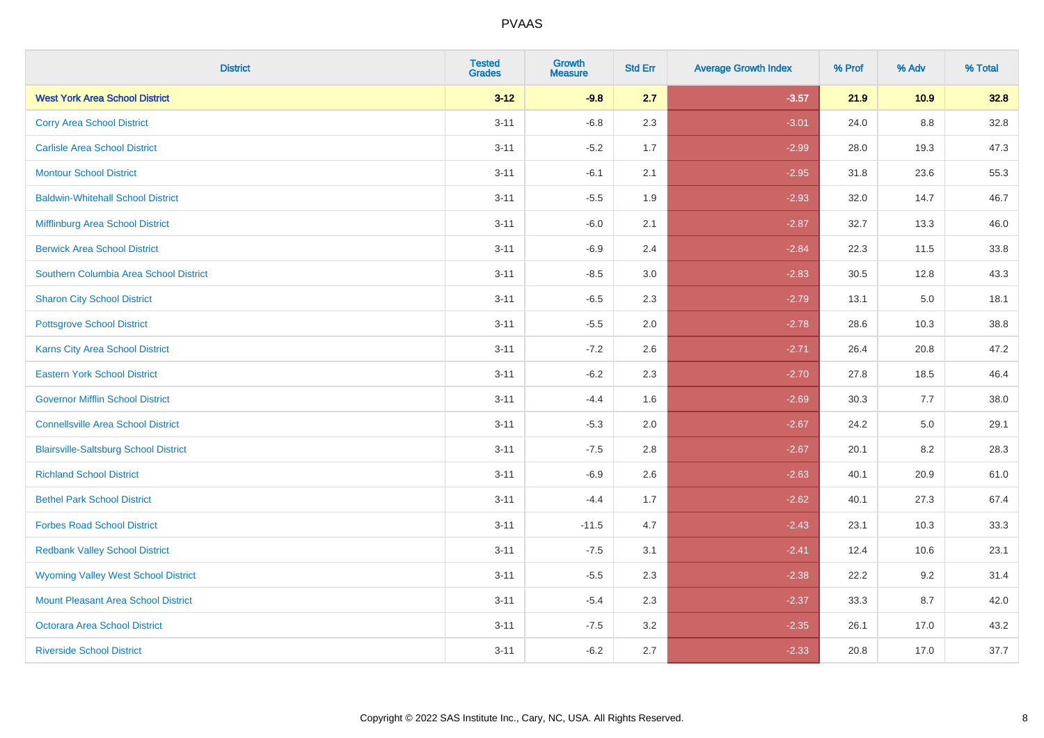| <b>District</b>                              | <b>Tested</b><br><b>Grades</b> | <b>Growth</b><br><b>Measure</b> | <b>Std Err</b> | <b>Average Growth Index</b> | % Prof | % Adv   | % Total |
|----------------------------------------------|--------------------------------|---------------------------------|----------------|-----------------------------|--------|---------|---------|
| <b>West York Area School District</b>        | $3 - 12$                       | $-9.8$                          | 2.7            | $-3.57$                     | 21.9   | 10.9    | 32.8    |
| <b>Corry Area School District</b>            | $3 - 11$                       | $-6.8$                          | 2.3            | $-3.01$                     | 24.0   | 8.8     | 32.8    |
| <b>Carlisle Area School District</b>         | $3 - 11$                       | $-5.2$                          | 1.7            | $-2.99$                     | 28.0   | 19.3    | 47.3    |
| <b>Montour School District</b>               | $3 - 11$                       | $-6.1$                          | 2.1            | $-2.95$                     | 31.8   | 23.6    | 55.3    |
| <b>Baldwin-Whitehall School District</b>     | $3 - 11$                       | $-5.5$                          | 1.9            | $-2.93$                     | 32.0   | 14.7    | 46.7    |
| Mifflinburg Area School District             | $3 - 11$                       | $-6.0$                          | 2.1            | $-2.87$                     | 32.7   | 13.3    | 46.0    |
| <b>Berwick Area School District</b>          | $3 - 11$                       | $-6.9$                          | 2.4            | $-2.84$                     | 22.3   | 11.5    | 33.8    |
| Southern Columbia Area School District       | $3 - 11$                       | $-8.5$                          | 3.0            | $-2.83$                     | 30.5   | 12.8    | 43.3    |
| <b>Sharon City School District</b>           | $3 - 11$                       | $-6.5$                          | 2.3            | $-2.79$                     | 13.1   | 5.0     | 18.1    |
| <b>Pottsgrove School District</b>            | $3 - 11$                       | $-5.5$                          | 2.0            | $-2.78$                     | 28.6   | 10.3    | 38.8    |
| Karns City Area School District              | $3 - 11$                       | $-7.2$                          | 2.6            | $-2.71$                     | 26.4   | 20.8    | 47.2    |
| <b>Eastern York School District</b>          | $3 - 11$                       | $-6.2$                          | 2.3            | $-2.70$                     | 27.8   | 18.5    | 46.4    |
| <b>Governor Mifflin School District</b>      | $3 - 11$                       | $-4.4$                          | 1.6            | $-2.69$                     | 30.3   | 7.7     | 38.0    |
| <b>Connellsville Area School District</b>    | $3 - 11$                       | $-5.3$                          | 2.0            | $-2.67$                     | 24.2   | $5.0\,$ | 29.1    |
| <b>Blairsville-Saltsburg School District</b> | $3 - 11$                       | $-7.5$                          | $2.8\,$        | $-2.67$                     | 20.1   | $8.2\,$ | 28.3    |
| <b>Richland School District</b>              | $3 - 11$                       | $-6.9$                          | 2.6            | $-2.63$                     | 40.1   | 20.9    | 61.0    |
| <b>Bethel Park School District</b>           | $3 - 11$                       | $-4.4$                          | 1.7            | $-2.62$                     | 40.1   | 27.3    | 67.4    |
| <b>Forbes Road School District</b>           | $3 - 11$                       | $-11.5$                         | 4.7            | $-2.43$                     | 23.1   | 10.3    | 33.3    |
| <b>Redbank Valley School District</b>        | $3 - 11$                       | $-7.5$                          | 3.1            | $-2.41$                     | 12.4   | 10.6    | 23.1    |
| <b>Wyoming Valley West School District</b>   | $3 - 11$                       | $-5.5$                          | 2.3            | $-2.38$                     | 22.2   | 9.2     | 31.4    |
| Mount Pleasant Area School District          | $3 - 11$                       | $-5.4$                          | 2.3            | $-2.37$                     | 33.3   | 8.7     | 42.0    |
| <b>Octorara Area School District</b>         | $3 - 11$                       | $-7.5$                          | 3.2            | $-2.35$                     | 26.1   | 17.0    | 43.2    |
| <b>Riverside School District</b>             | $3 - 11$                       | $-6.2$                          | 2.7            | $-2.33$                     | 20.8   | 17.0    | 37.7    |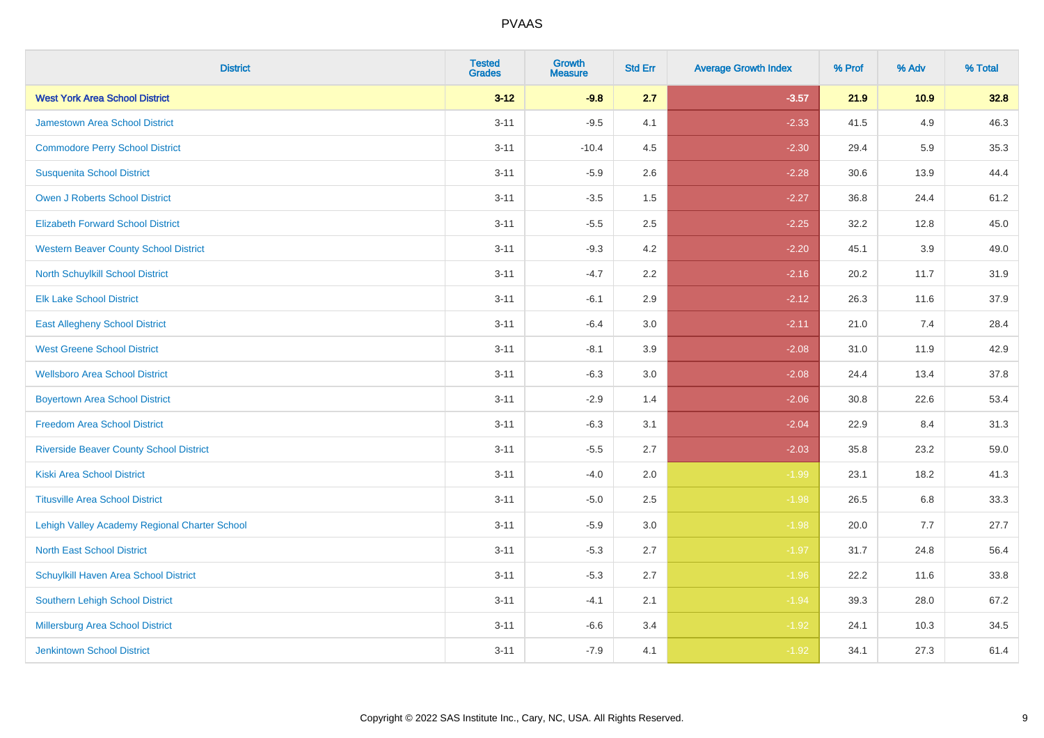| <b>District</b>                                | <b>Tested</b><br><b>Grades</b> | <b>Growth</b><br><b>Measure</b> | <b>Std Err</b> | <b>Average Growth Index</b> | % Prof | % Adv | % Total |
|------------------------------------------------|--------------------------------|---------------------------------|----------------|-----------------------------|--------|-------|---------|
| <b>West York Area School District</b>          | $3 - 12$                       | $-9.8$                          | 2.7            | $-3.57$                     | 21.9   | 10.9  | 32.8    |
| <b>Jamestown Area School District</b>          | $3 - 11$                       | $-9.5$                          | 4.1            | $-2.33$                     | 41.5   | 4.9   | 46.3    |
| <b>Commodore Perry School District</b>         | $3 - 11$                       | $-10.4$                         | 4.5            | $-2.30$                     | 29.4   | 5.9   | 35.3    |
| <b>Susquenita School District</b>              | $3 - 11$                       | $-5.9$                          | 2.6            | $-2.28$                     | 30.6   | 13.9  | 44.4    |
| <b>Owen J Roberts School District</b>          | $3 - 11$                       | $-3.5$                          | 1.5            | $-2.27$                     | 36.8   | 24.4  | 61.2    |
| <b>Elizabeth Forward School District</b>       | $3 - 11$                       | $-5.5$                          | 2.5            | $-2.25$                     | 32.2   | 12.8  | 45.0    |
| <b>Western Beaver County School District</b>   | $3 - 11$                       | $-9.3$                          | 4.2            | $-2.20$                     | 45.1   | 3.9   | 49.0    |
| <b>North Schuylkill School District</b>        | $3 - 11$                       | $-4.7$                          | 2.2            | $-2.16$                     | 20.2   | 11.7  | 31.9    |
| <b>Elk Lake School District</b>                | $3 - 11$                       | $-6.1$                          | 2.9            | $-2.12$                     | 26.3   | 11.6  | 37.9    |
| <b>East Allegheny School District</b>          | $3 - 11$                       | $-6.4$                          | 3.0            | $-2.11$                     | 21.0   | 7.4   | 28.4    |
| <b>West Greene School District</b>             | $3 - 11$                       | $-8.1$                          | 3.9            | $-2.08$                     | 31.0   | 11.9  | 42.9    |
| <b>Wellsboro Area School District</b>          | $3 - 11$                       | $-6.3$                          | 3.0            | $-2.08$                     | 24.4   | 13.4  | 37.8    |
| <b>Boyertown Area School District</b>          | $3 - 11$                       | $-2.9$                          | 1.4            | $-2.06$                     | 30.8   | 22.6  | 53.4    |
| <b>Freedom Area School District</b>            | $3 - 11$                       | $-6.3$                          | 3.1            | $-2.04$                     | 22.9   | 8.4   | 31.3    |
| <b>Riverside Beaver County School District</b> | $3 - 11$                       | $-5.5$                          | 2.7            | $-2.03$                     | 35.8   | 23.2  | 59.0    |
| <b>Kiski Area School District</b>              | $3 - 11$                       | $-4.0$                          | 2.0            | $-1.99$                     | 23.1   | 18.2  | 41.3    |
| <b>Titusville Area School District</b>         | $3 - 11$                       | $-5.0$                          | 2.5            | $-1.98$                     | 26.5   | 6.8   | 33.3    |
| Lehigh Valley Academy Regional Charter School  | $3 - 11$                       | $-5.9$                          | 3.0            | $-1.98$                     | 20.0   | 7.7   | 27.7    |
| <b>North East School District</b>              | $3 - 11$                       | $-5.3$                          | 2.7            | $-1.97$                     | 31.7   | 24.8  | 56.4    |
| Schuylkill Haven Area School District          | $3 - 11$                       | $-5.3$                          | 2.7            | $-1.96$                     | 22.2   | 11.6  | 33.8    |
| Southern Lehigh School District                | $3 - 11$                       | $-4.1$                          | 2.1            | $-1.94$                     | 39.3   | 28.0  | 67.2    |
| Millersburg Area School District               | $3 - 11$                       | $-6.6$                          | 3.4            | $-1.92$                     | 24.1   | 10.3  | 34.5    |
| <b>Jenkintown School District</b>              | $3 - 11$                       | $-7.9$                          | 4.1            | $-1.92$                     | 34.1   | 27.3  | 61.4    |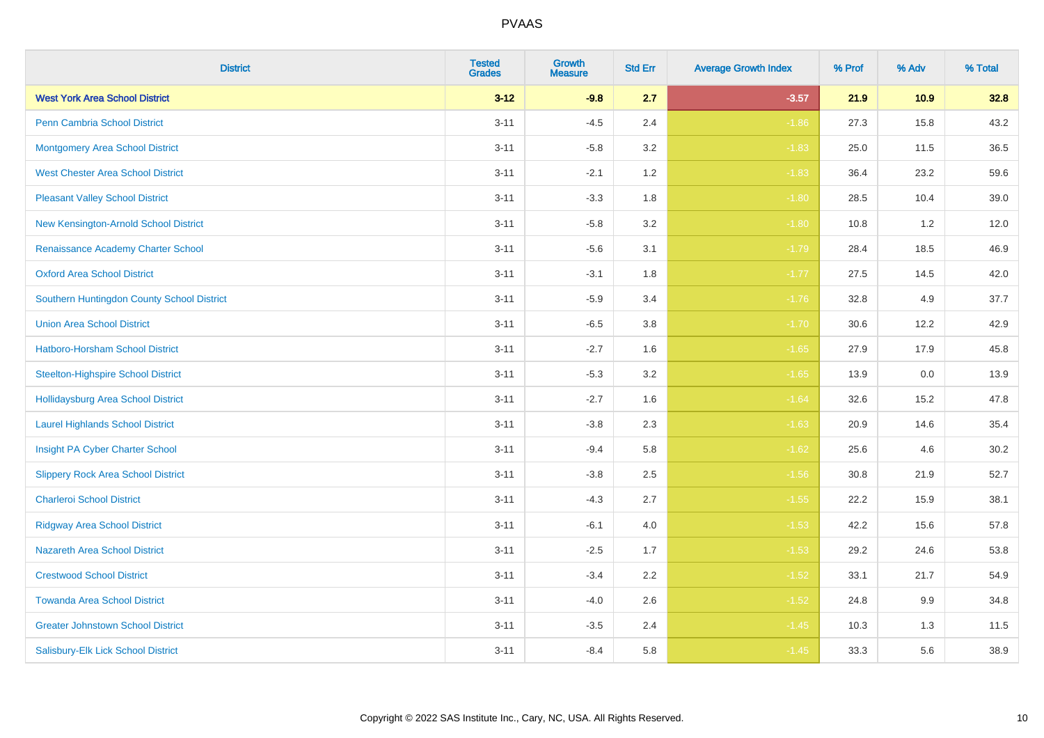| <b>District</b>                            | <b>Tested</b><br><b>Grades</b> | <b>Growth</b><br><b>Measure</b> | <b>Std Err</b> | <b>Average Growth Index</b> | % Prof | % Adv | % Total |
|--------------------------------------------|--------------------------------|---------------------------------|----------------|-----------------------------|--------|-------|---------|
| <b>West York Area School District</b>      | $3 - 12$                       | $-9.8$                          | 2.7            | $-3.57$                     | 21.9   | 10.9  | 32.8    |
| <b>Penn Cambria School District</b>        | $3 - 11$                       | $-4.5$                          | 2.4            | $-1.86$                     | 27.3   | 15.8  | 43.2    |
| <b>Montgomery Area School District</b>     | $3 - 11$                       | $-5.8$                          | 3.2            | $-1.83$                     | 25.0   | 11.5  | 36.5    |
| <b>West Chester Area School District</b>   | $3 - 11$                       | $-2.1$                          | 1.2            | $-1.83$                     | 36.4   | 23.2  | 59.6    |
| <b>Pleasant Valley School District</b>     | $3 - 11$                       | $-3.3$                          | 1.8            | $-1.80$                     | 28.5   | 10.4  | 39.0    |
| New Kensington-Arnold School District      | $3 - 11$                       | $-5.8$                          | 3.2            | $-1.80$                     | 10.8   | 1.2   | 12.0    |
| Renaissance Academy Charter School         | $3 - 11$                       | $-5.6$                          | 3.1            | $-1.79$                     | 28.4   | 18.5  | 46.9    |
| <b>Oxford Area School District</b>         | $3 - 11$                       | $-3.1$                          | 1.8            | $-1.77$                     | 27.5   | 14.5  | 42.0    |
| Southern Huntingdon County School District | $3 - 11$                       | $-5.9$                          | 3.4            | $-1.76$                     | 32.8   | 4.9   | 37.7    |
| <b>Union Area School District</b>          | $3 - 11$                       | $-6.5$                          | 3.8            | $-1.70$                     | 30.6   | 12.2  | 42.9    |
| Hatboro-Horsham School District            | $3 - 11$                       | $-2.7$                          | 1.6            | $-1.65$                     | 27.9   | 17.9  | 45.8    |
| <b>Steelton-Highspire School District</b>  | $3 - 11$                       | $-5.3$                          | 3.2            | $-1.65$                     | 13.9   | 0.0   | 13.9    |
| Hollidaysburg Area School District         | $3 - 11$                       | $-2.7$                          | 1.6            | $-1.64$                     | 32.6   | 15.2  | 47.8    |
| <b>Laurel Highlands School District</b>    | $3 - 11$                       | $-3.8$                          | 2.3            | $-1.63$                     | 20.9   | 14.6  | 35.4    |
| Insight PA Cyber Charter School            | $3 - 11$                       | $-9.4$                          | 5.8            | $-1.62$                     | 25.6   | 4.6   | 30.2    |
| <b>Slippery Rock Area School District</b>  | $3 - 11$                       | $-3.8$                          | 2.5            | $-1.56$                     | 30.8   | 21.9  | 52.7    |
| <b>Charleroi School District</b>           | $3 - 11$                       | $-4.3$                          | 2.7            | $-1.55$                     | 22.2   | 15.9  | 38.1    |
| <b>Ridgway Area School District</b>        | $3 - 11$                       | $-6.1$                          | 4.0            | $-1.53$                     | 42.2   | 15.6  | 57.8    |
| <b>Nazareth Area School District</b>       | $3 - 11$                       | $-2.5$                          | 1.7            | $-1.53$                     | 29.2   | 24.6  | 53.8    |
| <b>Crestwood School District</b>           | $3 - 11$                       | $-3.4$                          | 2.2            | $-1.52$                     | 33.1   | 21.7  | 54.9    |
| <b>Towanda Area School District</b>        | $3 - 11$                       | $-4.0$                          | 2.6            | $-1.52$                     | 24.8   | 9.9   | 34.8    |
| <b>Greater Johnstown School District</b>   | $3 - 11$                       | $-3.5$                          | 2.4            | $-1.45$                     | 10.3   | 1.3   | 11.5    |
| Salisbury-Elk Lick School District         | $3 - 11$                       | $-8.4$                          | 5.8            | $-1.45$                     | 33.3   | 5.6   | 38.9    |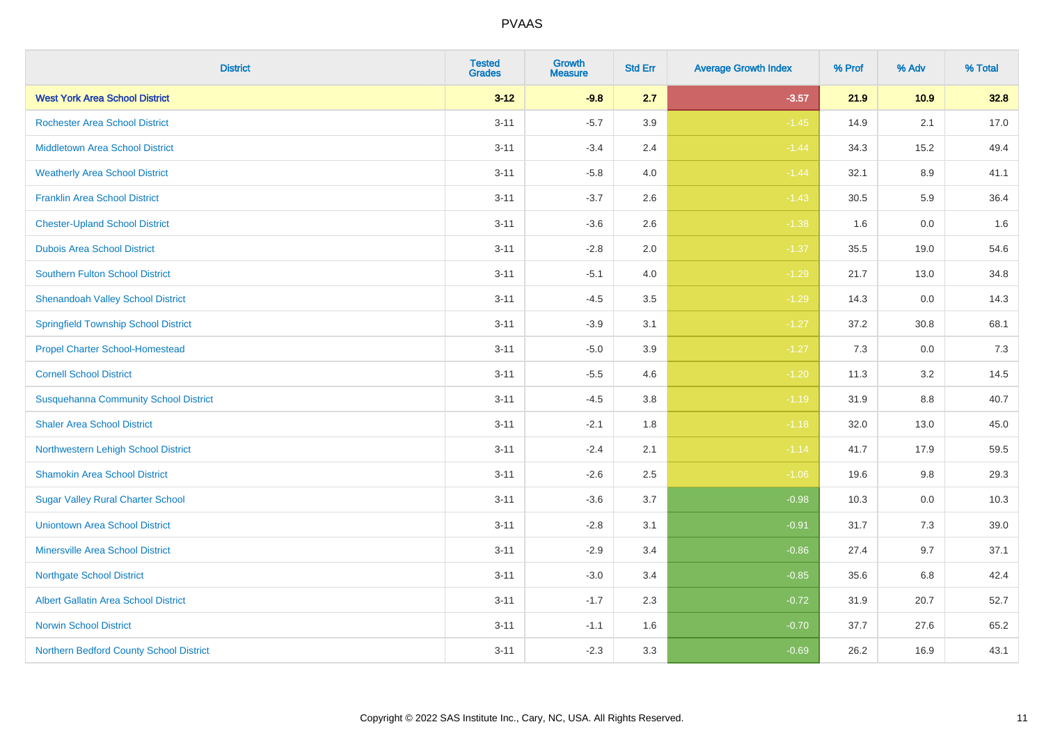| <b>District</b>                              | <b>Tested</b><br><b>Grades</b> | <b>Growth</b><br><b>Measure</b> | <b>Std Err</b> | <b>Average Growth Index</b> | % Prof | % Adv    | % Total |
|----------------------------------------------|--------------------------------|---------------------------------|----------------|-----------------------------|--------|----------|---------|
| <b>West York Area School District</b>        | $3 - 12$                       | $-9.8$                          | 2.7            | $-3.57$                     | 21.9   | 10.9     | 32.8    |
| <b>Rochester Area School District</b>        | $3 - 11$                       | $-5.7$                          | 3.9            | $-1.45$                     | 14.9   | 2.1      | 17.0    |
| <b>Middletown Area School District</b>       | $3 - 11$                       | $-3.4$                          | 2.4            | $-1.44$                     | 34.3   | 15.2     | 49.4    |
| <b>Weatherly Area School District</b>        | $3 - 11$                       | $-5.8$                          | 4.0            | $-1.44$                     | 32.1   | 8.9      | 41.1    |
| <b>Franklin Area School District</b>         | $3 - 11$                       | $-3.7$                          | 2.6            | $-1.43$                     | 30.5   | 5.9      | 36.4    |
| <b>Chester-Upland School District</b>        | $3 - 11$                       | $-3.6$                          | 2.6            | $-1.38$                     | 1.6    | 0.0      | 1.6     |
| <b>Dubois Area School District</b>           | $3 - 11$                       | $-2.8$                          | 2.0            | $-1.37$                     | 35.5   | 19.0     | 54.6    |
| <b>Southern Fulton School District</b>       | $3 - 11$                       | $-5.1$                          | 4.0            | $-1.29$                     | 21.7   | 13.0     | 34.8    |
| <b>Shenandoah Valley School District</b>     | $3 - 11$                       | $-4.5$                          | 3.5            | $-1.29$                     | 14.3   | 0.0      | 14.3    |
| <b>Springfield Township School District</b>  | $3 - 11$                       | $-3.9$                          | 3.1            | $-1.27$                     | 37.2   | $30.8\,$ | 68.1    |
| <b>Propel Charter School-Homestead</b>       | $3 - 11$                       | $-5.0$                          | 3.9            | $-1.27$                     | 7.3    | 0.0      | 7.3     |
| <b>Cornell School District</b>               | $3 - 11$                       | $-5.5$                          | 4.6            | $-1.20$                     | 11.3   | 3.2      | 14.5    |
| <b>Susquehanna Community School District</b> | $3 - 11$                       | $-4.5$                          | $3.8\,$        | $-1.19$                     | 31.9   | $8.8\,$  | 40.7    |
| <b>Shaler Area School District</b>           | $3 - 11$                       | $-2.1$                          | 1.8            | $-1.18$                     | 32.0   | 13.0     | 45.0    |
| Northwestern Lehigh School District          | $3 - 11$                       | $-2.4$                          | 2.1            | $-1.14$                     | 41.7   | 17.9     | 59.5    |
| <b>Shamokin Area School District</b>         | $3 - 11$                       | $-2.6$                          | 2.5            | $-1.06$                     | 19.6   | 9.8      | 29.3    |
| <b>Sugar Valley Rural Charter School</b>     | $3 - 11$                       | $-3.6$                          | 3.7            | $-0.98$                     | 10.3   | 0.0      | 10.3    |
| <b>Uniontown Area School District</b>        | $3 - 11$                       | $-2.8$                          | 3.1            | $-0.91$                     | 31.7   | 7.3      | 39.0    |
| <b>Minersville Area School District</b>      | $3 - 11$                       | $-2.9$                          | 3.4            | $-0.86$                     | 27.4   | 9.7      | 37.1    |
| <b>Northgate School District</b>             | $3 - 11$                       | $-3.0$                          | 3.4            | $-0.85$                     | 35.6   | 6.8      | 42.4    |
| <b>Albert Gallatin Area School District</b>  | $3 - 11$                       | $-1.7$                          | 2.3            | $-0.72$                     | 31.9   | 20.7     | 52.7    |
| <b>Norwin School District</b>                | $3 - 11$                       | $-1.1$                          | 1.6            | $-0.70$                     | 37.7   | 27.6     | 65.2    |
| Northern Bedford County School District      | $3 - 11$                       | $-2.3$                          | 3.3            | $-0.69$                     | 26.2   | 16.9     | 43.1    |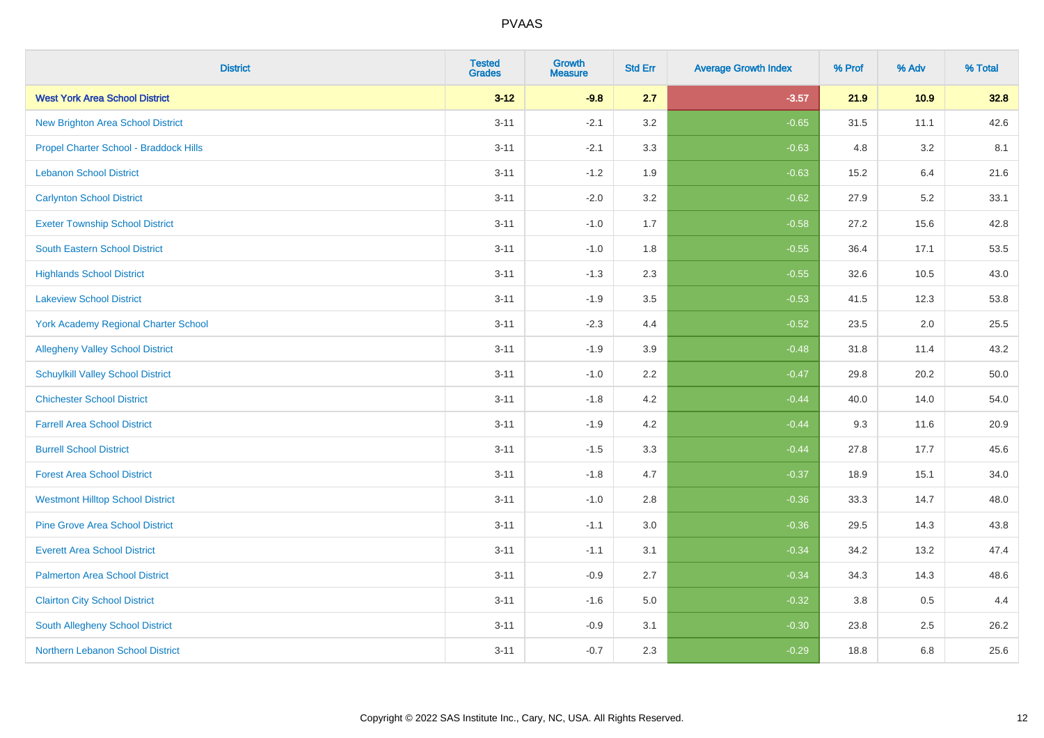| <b>District</b>                             | <b>Tested</b><br><b>Grades</b> | <b>Growth</b><br><b>Measure</b> | <b>Std Err</b> | <b>Average Growth Index</b> | % Prof | % Adv | % Total |
|---------------------------------------------|--------------------------------|---------------------------------|----------------|-----------------------------|--------|-------|---------|
| <b>West York Area School District</b>       | $3 - 12$                       | $-9.8$                          | 2.7            | $-3.57$                     | 21.9   | 10.9  | 32.8    |
| <b>New Brighton Area School District</b>    | $3 - 11$                       | $-2.1$                          | 3.2            | $-0.65$                     | 31.5   | 11.1  | 42.6    |
| Propel Charter School - Braddock Hills      | $3 - 11$                       | $-2.1$                          | 3.3            | $-0.63$                     | 4.8    | 3.2   | 8.1     |
| <b>Lebanon School District</b>              | $3 - 11$                       | $-1.2$                          | 1.9            | $-0.63$                     | 15.2   | 6.4   | 21.6    |
| <b>Carlynton School District</b>            | $3 - 11$                       | $-2.0$                          | 3.2            | $-0.62$                     | 27.9   | 5.2   | 33.1    |
| <b>Exeter Township School District</b>      | $3 - 11$                       | $-1.0$                          | 1.7            | $-0.58$                     | 27.2   | 15.6  | 42.8    |
| <b>South Eastern School District</b>        | $3 - 11$                       | $-1.0$                          | 1.8            | $-0.55$                     | 36.4   | 17.1  | 53.5    |
| <b>Highlands School District</b>            | $3 - 11$                       | $-1.3$                          | 2.3            | $-0.55$                     | 32.6   | 10.5  | 43.0    |
| <b>Lakeview School District</b>             | $3 - 11$                       | $-1.9$                          | 3.5            | $-0.53$                     | 41.5   | 12.3  | 53.8    |
| <b>York Academy Regional Charter School</b> | $3 - 11$                       | $-2.3$                          | 4.4            | $-0.52$                     | 23.5   | 2.0   | 25.5    |
| <b>Allegheny Valley School District</b>     | $3 - 11$                       | $-1.9$                          | 3.9            | $-0.48$                     | 31.8   | 11.4  | 43.2    |
| <b>Schuylkill Valley School District</b>    | $3 - 11$                       | $-1.0$                          | 2.2            | $-0.47$                     | 29.8   | 20.2  | 50.0    |
| <b>Chichester School District</b>           | $3 - 11$                       | $-1.8$                          | $4.2\,$        | $-0.44$                     | 40.0   | 14.0  | 54.0    |
| <b>Farrell Area School District</b>         | $3 - 11$                       | $-1.9$                          | 4.2            | $-0.44$                     | 9.3    | 11.6  | 20.9    |
| <b>Burrell School District</b>              | $3 - 11$                       | $-1.5$                          | 3.3            | $-0.44$                     | 27.8   | 17.7  | 45.6    |
| <b>Forest Area School District</b>          | $3 - 11$                       | $-1.8$                          | 4.7            | $-0.37$                     | 18.9   | 15.1  | 34.0    |
| <b>Westmont Hilltop School District</b>     | $3 - 11$                       | $-1.0$                          | 2.8            | $-0.36$                     | 33.3   | 14.7  | 48.0    |
| <b>Pine Grove Area School District</b>      | $3 - 11$                       | $-1.1$                          | 3.0            | $-0.36$                     | 29.5   | 14.3  | 43.8    |
| <b>Everett Area School District</b>         | $3 - 11$                       | $-1.1$                          | 3.1            | $-0.34$                     | 34.2   | 13.2  | 47.4    |
| <b>Palmerton Area School District</b>       | $3 - 11$                       | $-0.9$                          | 2.7            | $-0.34$                     | 34.3   | 14.3  | 48.6    |
| <b>Clairton City School District</b>        | $3 - 11$                       | $-1.6$                          | 5.0            | $-0.32$                     | 3.8    | 0.5   | 4.4     |
| South Allegheny School District             | $3 - 11$                       | $-0.9$                          | 3.1            | $-0.30$                     | 23.8   | 2.5   | 26.2    |
| Northern Lebanon School District            | $3 - 11$                       | $-0.7$                          | 2.3            | $-0.29$                     | 18.8   | 6.8   | 25.6    |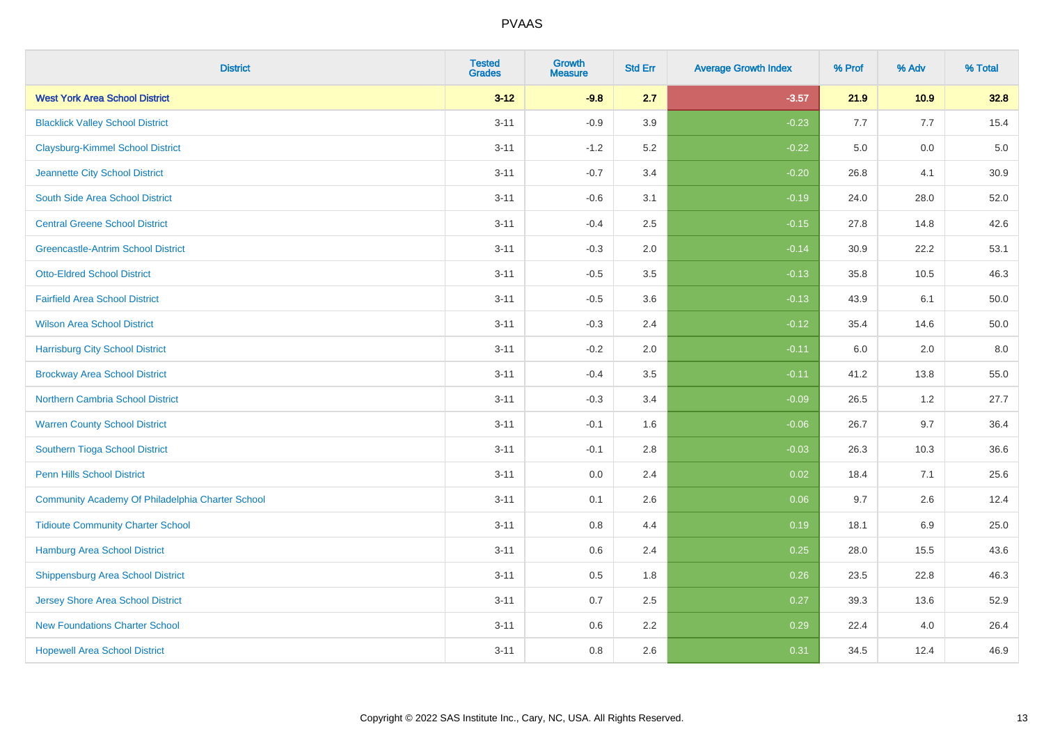| <b>District</b>                                  | <b>Tested</b><br><b>Grades</b> | <b>Growth</b><br><b>Measure</b> | <b>Std Err</b> | <b>Average Growth Index</b> | % Prof | % Adv   | % Total |
|--------------------------------------------------|--------------------------------|---------------------------------|----------------|-----------------------------|--------|---------|---------|
| <b>West York Area School District</b>            | $3 - 12$                       | $-9.8$                          | 2.7            | $-3.57$                     | 21.9   | 10.9    | 32.8    |
| <b>Blacklick Valley School District</b>          | $3 - 11$                       | $-0.9$                          | 3.9            | $-0.23$                     | 7.7    | 7.7     | 15.4    |
| <b>Claysburg-Kimmel School District</b>          | $3 - 11$                       | $-1.2$                          | 5.2            | $-0.22$                     | 5.0    | 0.0     | $5.0$   |
| Jeannette City School District                   | $3 - 11$                       | $-0.7$                          | 3.4            | $-0.20$                     | 26.8   | 4.1     | 30.9    |
| South Side Area School District                  | $3 - 11$                       | $-0.6$                          | 3.1            | $-0.19$                     | 24.0   | 28.0    | 52.0    |
| <b>Central Greene School District</b>            | $3 - 11$                       | $-0.4$                          | 2.5            | $-0.15$                     | 27.8   | 14.8    | 42.6    |
| <b>Greencastle-Antrim School District</b>        | $3 - 11$                       | $-0.3$                          | 2.0            | $-0.14$                     | 30.9   | 22.2    | 53.1    |
| <b>Otto-Eldred School District</b>               | $3 - 11$                       | $-0.5$                          | 3.5            | $-0.13$                     | 35.8   | 10.5    | 46.3    |
| <b>Fairfield Area School District</b>            | $3 - 11$                       | $-0.5$                          | 3.6            | $-0.13$                     | 43.9   | 6.1     | 50.0    |
| <b>Wilson Area School District</b>               | $3 - 11$                       | $-0.3$                          | 2.4            | $-0.12$                     | 35.4   | 14.6    | 50.0    |
| <b>Harrisburg City School District</b>           | $3 - 11$                       | $-0.2$                          | 2.0            | $-0.11$                     | 6.0    | 2.0     | 8.0     |
| <b>Brockway Area School District</b>             | $3 - 11$                       | $-0.4$                          | 3.5            | $-0.11$                     | 41.2   | 13.8    | 55.0    |
| Northern Cambria School District                 | $3 - 11$                       | $-0.3$                          | 3.4            | $-0.09$                     | 26.5   | $1.2\,$ | 27.7    |
| <b>Warren County School District</b>             | $3 - 11$                       | $-0.1$                          | 1.6            | $-0.06$                     | 26.7   | 9.7     | 36.4    |
| Southern Tioga School District                   | $3 - 11$                       | $-0.1$                          | 2.8            | $-0.03$                     | 26.3   | 10.3    | 36.6    |
| Penn Hills School District                       | $3 - 11$                       | 0.0                             | 2.4            | 0.02                        | 18.4   | 7.1     | 25.6    |
| Community Academy Of Philadelphia Charter School | $3 - 11$                       | 0.1                             | 2.6            | 0.06                        | 9.7    | 2.6     | 12.4    |
| <b>Tidioute Community Charter School</b>         | $3 - 11$                       | 0.8                             | 4.4            | 0.19                        | 18.1   | 6.9     | 25.0    |
| <b>Hamburg Area School District</b>              | $3 - 11$                       | 0.6                             | 2.4            | 0.25                        | 28.0   | 15.5    | 43.6    |
| <b>Shippensburg Area School District</b>         | $3 - 11$                       | 0.5                             | 1.8            | 0.26                        | 23.5   | 22.8    | 46.3    |
| Jersey Shore Area School District                | $3 - 11$                       | 0.7                             | 2.5            | 0.27                        | 39.3   | 13.6    | 52.9    |
| <b>New Foundations Charter School</b>            | $3 - 11$                       | 0.6                             | 2.2            | 0.29                        | 22.4   | 4.0     | 26.4    |
| <b>Hopewell Area School District</b>             | $3 - 11$                       | 0.8                             | 2.6            | 0.31                        | 34.5   | 12.4    | 46.9    |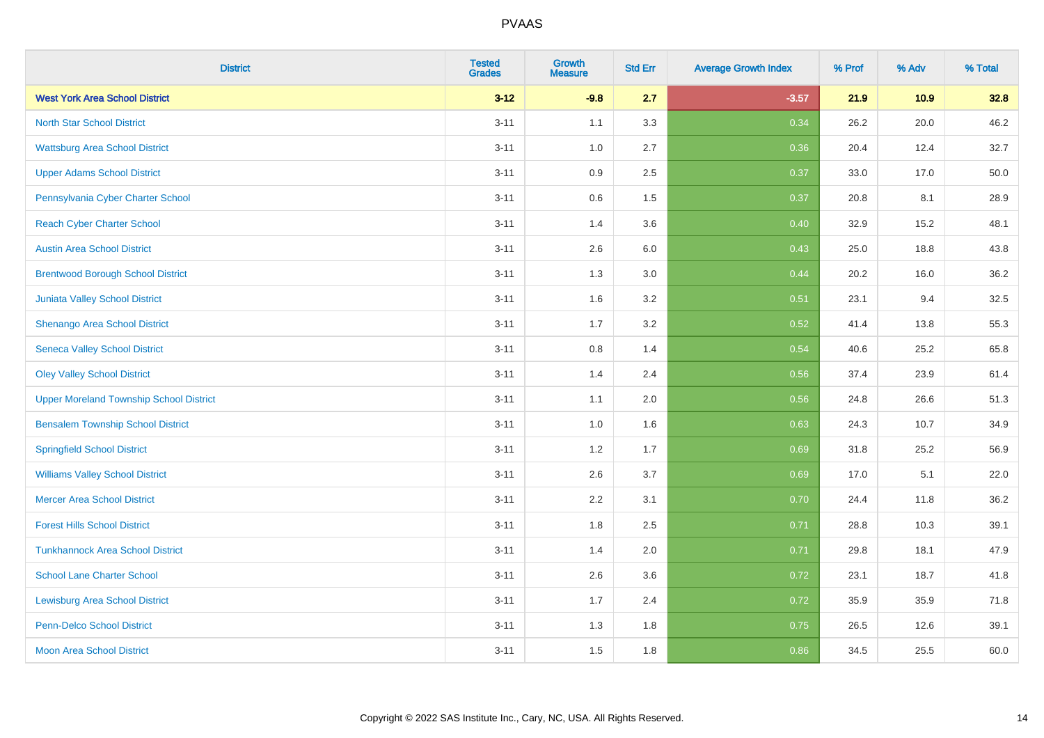| <b>District</b>                                | <b>Tested</b><br><b>Grades</b> | <b>Growth</b><br><b>Measure</b> | <b>Std Err</b> | <b>Average Growth Index</b> | % Prof | % Adv | % Total |
|------------------------------------------------|--------------------------------|---------------------------------|----------------|-----------------------------|--------|-------|---------|
| <b>West York Area School District</b>          | $3 - 12$                       | $-9.8$                          | 2.7            | $-3.57$                     | 21.9   | 10.9  | 32.8    |
| <b>North Star School District</b>              | $3 - 11$                       | 1.1                             | 3.3            | 0.34                        | 26.2   | 20.0  | 46.2    |
| <b>Wattsburg Area School District</b>          | $3 - 11$                       | 1.0                             | 2.7            | 0.36                        | 20.4   | 12.4  | 32.7    |
| <b>Upper Adams School District</b>             | $3 - 11$                       | $0.9\,$                         | 2.5            | 0.37                        | 33.0   | 17.0  | 50.0    |
| Pennsylvania Cyber Charter School              | $3 - 11$                       | 0.6                             | 1.5            | 0.37                        | 20.8   | 8.1   | 28.9    |
| <b>Reach Cyber Charter School</b>              | $3 - 11$                       | 1.4                             | 3.6            | 0.40                        | 32.9   | 15.2  | 48.1    |
| <b>Austin Area School District</b>             | $3 - 11$                       | 2.6                             | 6.0            | 0.43                        | 25.0   | 18.8  | 43.8    |
| <b>Brentwood Borough School District</b>       | $3 - 11$                       | 1.3                             | 3.0            | 0.44                        | 20.2   | 16.0  | 36.2    |
| Juniata Valley School District                 | $3 - 11$                       | 1.6                             | 3.2            | 0.51                        | 23.1   | 9.4   | 32.5    |
| Shenango Area School District                  | $3 - 11$                       | 1.7                             | 3.2            | 0.52                        | 41.4   | 13.8  | 55.3    |
| <b>Seneca Valley School District</b>           | $3 - 11$                       | 0.8                             | 1.4            | 0.54                        | 40.6   | 25.2  | 65.8    |
| <b>Oley Valley School District</b>             | $3 - 11$                       | 1.4                             | 2.4            | 0.56                        | 37.4   | 23.9  | 61.4    |
| <b>Upper Moreland Township School District</b> | $3 - 11$                       | 1.1                             | 2.0            | 0.56                        | 24.8   | 26.6  | 51.3    |
| <b>Bensalem Township School District</b>       | $3 - 11$                       | 1.0                             | 1.6            | 0.63                        | 24.3   | 10.7  | 34.9    |
| <b>Springfield School District</b>             | $3 - 11$                       | 1.2                             | 1.7            | 0.69                        | 31.8   | 25.2  | 56.9    |
| <b>Williams Valley School District</b>         | $3 - 11$                       | 2.6                             | 3.7            | 0.69                        | 17.0   | 5.1   | 22.0    |
| <b>Mercer Area School District</b>             | $3 - 11$                       | 2.2                             | 3.1            | 0.70                        | 24.4   | 11.8  | 36.2    |
| <b>Forest Hills School District</b>            | $3 - 11$                       | 1.8                             | 2.5            | 0.71                        | 28.8   | 10.3  | 39.1    |
| <b>Tunkhannock Area School District</b>        | $3 - 11$                       | 1.4                             | 2.0            | 0.71                        | 29.8   | 18.1  | 47.9    |
| <b>School Lane Charter School</b>              | $3 - 11$                       | 2.6                             | 3.6            | 0.72                        | 23.1   | 18.7  | 41.8    |
| <b>Lewisburg Area School District</b>          | $3 - 11$                       | 1.7                             | 2.4            | 0.72                        | 35.9   | 35.9  | 71.8    |
| <b>Penn-Delco School District</b>              | $3 - 11$                       | 1.3                             | 1.8            | 0.75                        | 26.5   | 12.6  | 39.1    |
| <b>Moon Area School District</b>               | $3 - 11$                       | 1.5                             | 1.8            | 0.86                        | 34.5   | 25.5  | 60.0    |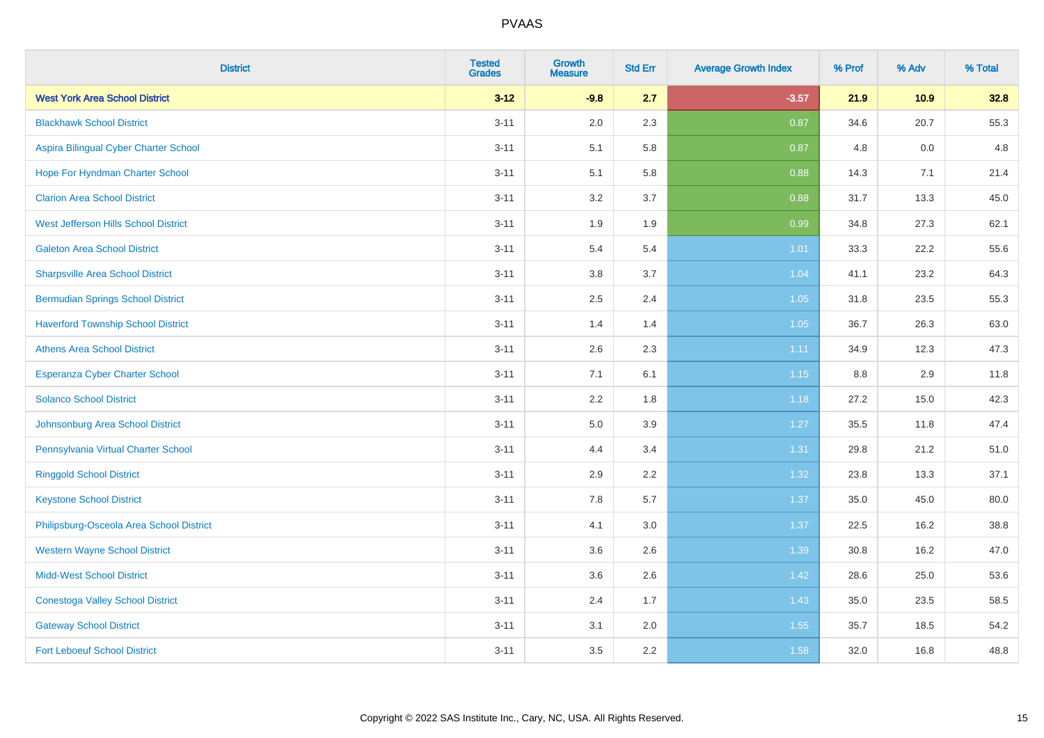| <b>District</b>                           | <b>Tested</b><br><b>Grades</b> | <b>Growth</b><br><b>Measure</b> | <b>Std Err</b> | <b>Average Growth Index</b> | % Prof | % Adv | % Total |
|-------------------------------------------|--------------------------------|---------------------------------|----------------|-----------------------------|--------|-------|---------|
| <b>West York Area School District</b>     | $3 - 12$                       | $-9.8$                          | 2.7            | $-3.57$                     | 21.9   | 10.9  | 32.8    |
| <b>Blackhawk School District</b>          | $3 - 11$                       | 2.0                             | 2.3            | 0.87                        | 34.6   | 20.7  | 55.3    |
| Aspira Bilingual Cyber Charter School     | $3 - 11$                       | 5.1                             | 5.8            | 0.87                        | 4.8    | 0.0   | 4.8     |
| Hope For Hyndman Charter School           | $3 - 11$                       | 5.1                             | 5.8            | 0.88                        | 14.3   | 7.1   | 21.4    |
| <b>Clarion Area School District</b>       | $3 - 11$                       | 3.2                             | 3.7            | 0.88                        | 31.7   | 13.3  | 45.0    |
| West Jefferson Hills School District      | $3 - 11$                       | 1.9                             | 1.9            | 0.99                        | 34.8   | 27.3  | 62.1    |
| <b>Galeton Area School District</b>       | $3 - 11$                       | 5.4                             | 5.4            | $1.01$                      | 33.3   | 22.2  | 55.6    |
| <b>Sharpsville Area School District</b>   | $3 - 11$                       | 3.8                             | 3.7            | 1.04                        | 41.1   | 23.2  | 64.3    |
| <b>Bermudian Springs School District</b>  | $3 - 11$                       | 2.5                             | 2.4            | 1.05                        | 31.8   | 23.5  | 55.3    |
| <b>Haverford Township School District</b> | $3 - 11$                       | 1.4                             | 1.4            | 1.05                        | 36.7   | 26.3  | 63.0    |
| <b>Athens Area School District</b>        | $3 - 11$                       | 2.6                             | 2.3            | 1.11                        | 34.9   | 12.3  | 47.3    |
| Esperanza Cyber Charter School            | $3 - 11$                       | 7.1                             | 6.1            | 1.15                        | 8.8    | 2.9   | 11.8    |
| <b>Solanco School District</b>            | $3 - 11$                       | 2.2                             | 1.8            | 1.18                        | 27.2   | 15.0  | 42.3    |
| Johnsonburg Area School District          | $3 - 11$                       | 5.0                             | 3.9            | 1.27                        | 35.5   | 11.8  | 47.4    |
| Pennsylvania Virtual Charter School       | $3 - 11$                       | 4.4                             | 3.4            | 1.31                        | 29.8   | 21.2  | 51.0    |
| <b>Ringgold School District</b>           | $3 - 11$                       | 2.9                             | 2.2            | 1.32                        | 23.8   | 13.3  | 37.1    |
| <b>Keystone School District</b>           | $3 - 11$                       | 7.8                             | 5.7            | 1.37                        | 35.0   | 45.0  | 80.0    |
| Philipsburg-Osceola Area School District  | $3 - 11$                       | 4.1                             | 3.0            | 1.37                        | 22.5   | 16.2  | 38.8    |
| <b>Western Wayne School District</b>      | $3 - 11$                       | 3.6                             | 2.6            | 1.39                        | 30.8   | 16.2  | 47.0    |
| <b>Midd-West School District</b>          | $3 - 11$                       | 3.6                             | 2.6            | 1.42                        | 28.6   | 25.0  | 53.6    |
| <b>Conestoga Valley School District</b>   | $3 - 11$                       | 2.4                             | 1.7            | 1.43                        | 35.0   | 23.5  | 58.5    |
| <b>Gateway School District</b>            | $3 - 11$                       | 3.1                             | 2.0            | 1.55                        | 35.7   | 18.5  | 54.2    |
| <b>Fort Leboeuf School District</b>       | $3 - 11$                       | 3.5                             | 2.2            | 1.58                        | 32.0   | 16.8  | 48.8    |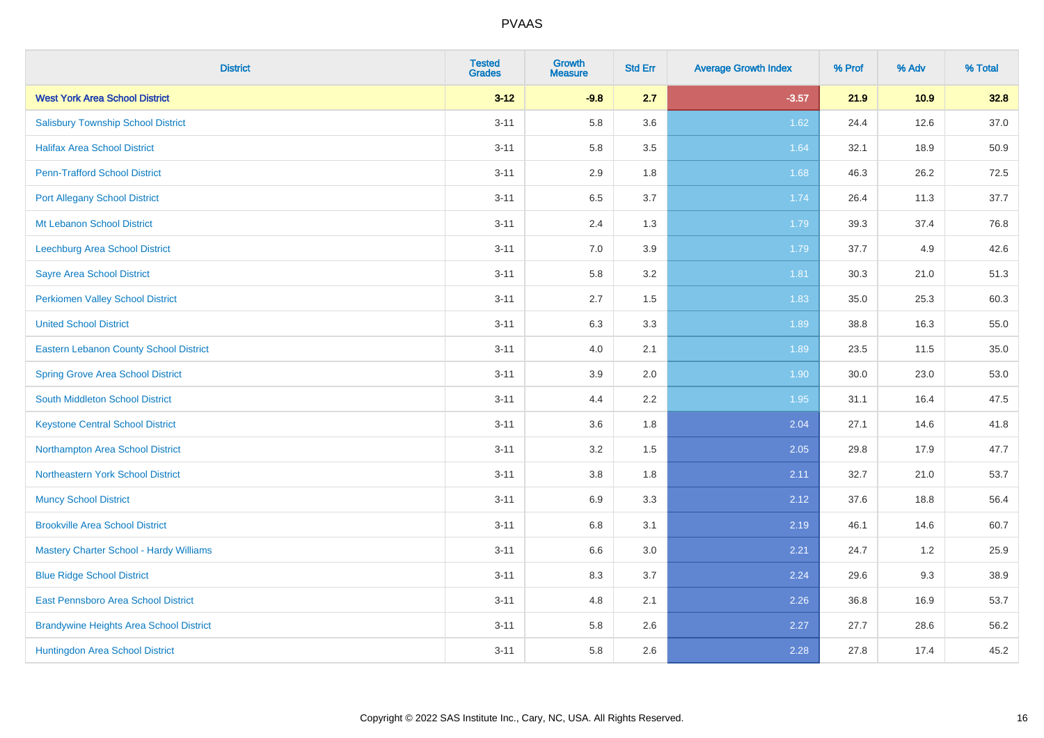| <b>District</b>                                | <b>Tested</b><br><b>Grades</b> | <b>Growth</b><br><b>Measure</b> | <b>Std Err</b> | <b>Average Growth Index</b> | % Prof | % Adv | % Total |
|------------------------------------------------|--------------------------------|---------------------------------|----------------|-----------------------------|--------|-------|---------|
| <b>West York Area School District</b>          | $3 - 12$                       | $-9.8$                          | 2.7            | $-3.57$                     | 21.9   | 10.9  | 32.8    |
| <b>Salisbury Township School District</b>      | $3 - 11$                       | 5.8                             | 3.6            | 1.62                        | 24.4   | 12.6  | 37.0    |
| <b>Halifax Area School District</b>            | $3 - 11$                       | 5.8                             | 3.5            | 1.64                        | 32.1   | 18.9  | 50.9    |
| <b>Penn-Trafford School District</b>           | $3 - 11$                       | 2.9                             | 1.8            | 1.68                        | 46.3   | 26.2  | 72.5    |
| <b>Port Allegany School District</b>           | $3 - 11$                       | 6.5                             | 3.7            | 1.74                        | 26.4   | 11.3  | 37.7    |
| Mt Lebanon School District                     | $3 - 11$                       | 2.4                             | 1.3            | 1.79                        | 39.3   | 37.4  | 76.8    |
| Leechburg Area School District                 | $3 - 11$                       | 7.0                             | 3.9            | 1.79                        | 37.7   | 4.9   | 42.6    |
| <b>Sayre Area School District</b>              | $3 - 11$                       | 5.8                             | 3.2            | 1.81                        | 30.3   | 21.0  | 51.3    |
| <b>Perkiomen Valley School District</b>        | $3 - 11$                       | 2.7                             | 1.5            | 1.83                        | 35.0   | 25.3  | 60.3    |
| <b>United School District</b>                  | $3 - 11$                       | 6.3                             | 3.3            | 1.89                        | 38.8   | 16.3  | 55.0    |
| <b>Eastern Lebanon County School District</b>  | $3 - 11$                       | 4.0                             | 2.1            | 1.89                        | 23.5   | 11.5  | 35.0    |
| <b>Spring Grove Area School District</b>       | $3 - 11$                       | 3.9                             | 2.0            | 1.90                        | 30.0   | 23.0  | 53.0    |
| South Middleton School District                | $3 - 11$                       | 4.4                             | 2.2            | 1.95                        | 31.1   | 16.4  | 47.5    |
| <b>Keystone Central School District</b>        | $3 - 11$                       | 3.6                             | 1.8            | 2.04                        | 27.1   | 14.6  | 41.8    |
| Northampton Area School District               | $3 - 11$                       | 3.2                             | 1.5            | 2.05                        | 29.8   | 17.9  | 47.7    |
| Northeastern York School District              | $3 - 11$                       | 3.8                             | 1.8            | 2.11                        | 32.7   | 21.0  | 53.7    |
| <b>Muncy School District</b>                   | $3 - 11$                       | 6.9                             | 3.3            | 2.12                        | 37.6   | 18.8  | 56.4    |
| <b>Brookville Area School District</b>         | $3 - 11$                       | 6.8                             | 3.1            | 2.19                        | 46.1   | 14.6  | 60.7    |
| Mastery Charter School - Hardy Williams        | $3 - 11$                       | 6.6                             | 3.0            | 2.21                        | 24.7   | 1.2   | 25.9    |
| <b>Blue Ridge School District</b>              | $3 - 11$                       | 8.3                             | 3.7            | 2.24                        | 29.6   | 9.3   | 38.9    |
| East Pennsboro Area School District            | $3 - 11$                       | 4.8                             | 2.1            | 2.26                        | 36.8   | 16.9  | 53.7    |
| <b>Brandywine Heights Area School District</b> | $3 - 11$                       | 5.8                             | 2.6            | 2.27                        | 27.7   | 28.6  | 56.2    |
| Huntingdon Area School District                | $3 - 11$                       | 5.8                             | 2.6            | 2.28                        | 27.8   | 17.4  | 45.2    |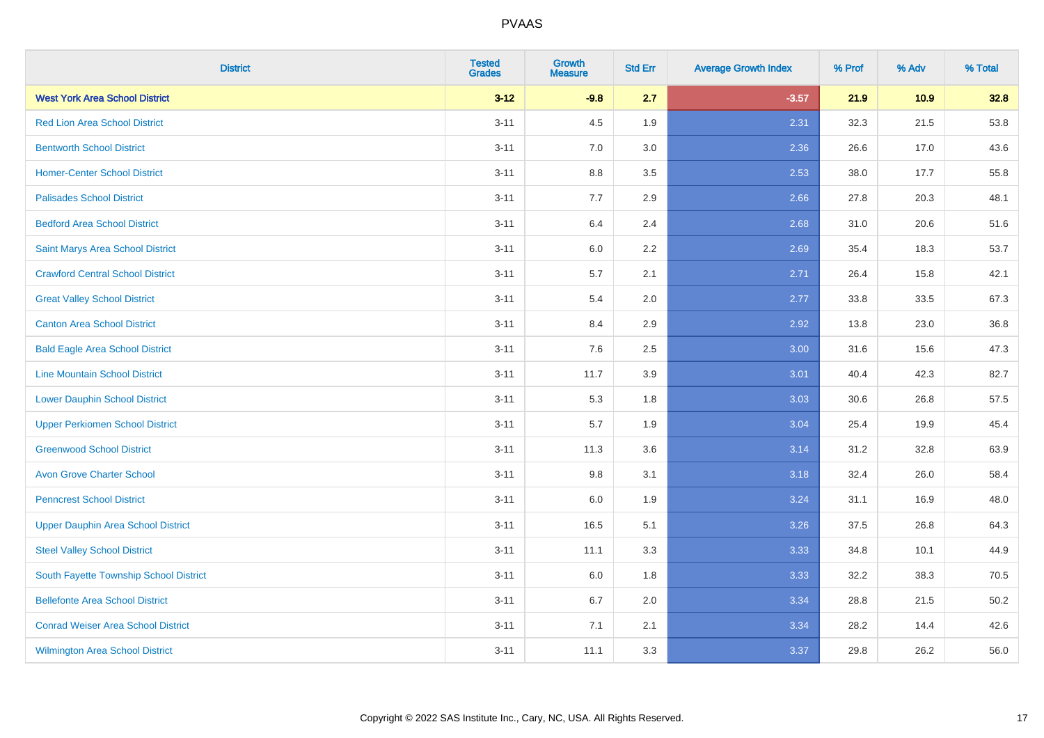| <b>District</b>                           | <b>Tested</b><br><b>Grades</b> | <b>Growth</b><br><b>Measure</b> | <b>Std Err</b> | <b>Average Growth Index</b> | % Prof | % Adv | % Total |
|-------------------------------------------|--------------------------------|---------------------------------|----------------|-----------------------------|--------|-------|---------|
| <b>West York Area School District</b>     | $3 - 12$                       | $-9.8$                          | 2.7            | $-3.57$                     | 21.9   | 10.9  | 32.8    |
| <b>Red Lion Area School District</b>      | $3 - 11$                       | 4.5                             | 1.9            | 2.31                        | 32.3   | 21.5  | 53.8    |
| <b>Bentworth School District</b>          | $3 - 11$                       | 7.0                             | 3.0            | 2.36                        | 26.6   | 17.0  | 43.6    |
| <b>Homer-Center School District</b>       | $3 - 11$                       | 8.8                             | 3.5            | 2.53                        | 38.0   | 17.7  | 55.8    |
| <b>Palisades School District</b>          | $3 - 11$                       | 7.7                             | 2.9            | 2.66                        | 27.8   | 20.3  | 48.1    |
| <b>Bedford Area School District</b>       | $3 - 11$                       | 6.4                             | 2.4            | 2.68                        | 31.0   | 20.6  | 51.6    |
| Saint Marys Area School District          | $3 - 11$                       | 6.0                             | 2.2            | 2.69                        | 35.4   | 18.3  | 53.7    |
| <b>Crawford Central School District</b>   | $3 - 11$                       | 5.7                             | 2.1            | 2.71                        | 26.4   | 15.8  | 42.1    |
| <b>Great Valley School District</b>       | $3 - 11$                       | 5.4                             | 2.0            | 2.77                        | 33.8   | 33.5  | 67.3    |
| <b>Canton Area School District</b>        | $3 - 11$                       | 8.4                             | 2.9            | 2.92                        | 13.8   | 23.0  | 36.8    |
| <b>Bald Eagle Area School District</b>    | $3 - 11$                       | 7.6                             | 2.5            | 3.00                        | 31.6   | 15.6  | 47.3    |
| <b>Line Mountain School District</b>      | $3 - 11$                       | 11.7                            | 3.9            | 3.01                        | 40.4   | 42.3  | 82.7    |
| <b>Lower Dauphin School District</b>      | $3 - 11$                       | 5.3                             | 1.8            | 3.03                        | 30.6   | 26.8  | 57.5    |
| <b>Upper Perkiomen School District</b>    | $3 - 11$                       | 5.7                             | 1.9            | 3.04                        | 25.4   | 19.9  | 45.4    |
| <b>Greenwood School District</b>          | $3 - 11$                       | 11.3                            | 3.6            | 3.14                        | 31.2   | 32.8  | 63.9    |
| <b>Avon Grove Charter School</b>          | $3 - 11$                       | 9.8                             | 3.1            | 3.18                        | 32.4   | 26.0  | 58.4    |
| <b>Penncrest School District</b>          | $3 - 11$                       | 6.0                             | 1.9            | 3.24                        | 31.1   | 16.9  | 48.0    |
| <b>Upper Dauphin Area School District</b> | $3 - 11$                       | 16.5                            | 5.1            | 3.26                        | 37.5   | 26.8  | 64.3    |
| <b>Steel Valley School District</b>       | $3 - 11$                       | 11.1                            | 3.3            | 3.33                        | 34.8   | 10.1  | 44.9    |
| South Fayette Township School District    | $3 - 11$                       | 6.0                             | 1.8            | 3.33                        | 32.2   | 38.3  | 70.5    |
| <b>Bellefonte Area School District</b>    | $3 - 11$                       | 6.7                             | 2.0            | 3.34                        | 28.8   | 21.5  | 50.2    |
| <b>Conrad Weiser Area School District</b> | $3 - 11$                       | 7.1                             | 2.1            | 3.34                        | 28.2   | 14.4  | 42.6    |
| <b>Wilmington Area School District</b>    | $3 - 11$                       | 11.1                            | 3.3            | 3.37                        | 29.8   | 26.2  | 56.0    |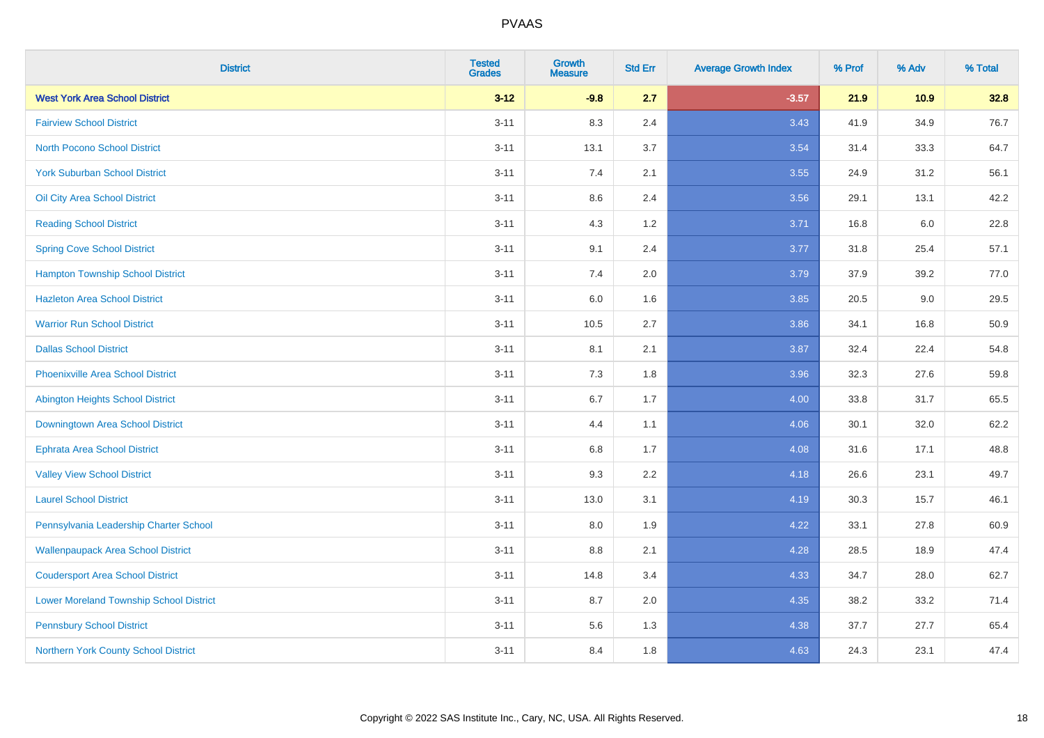| <b>District</b>                                | <b>Tested</b><br><b>Grades</b> | <b>Growth</b><br><b>Measure</b> | <b>Std Err</b> | <b>Average Growth Index</b> | % Prof | % Adv   | % Total |
|------------------------------------------------|--------------------------------|---------------------------------|----------------|-----------------------------|--------|---------|---------|
| <b>West York Area School District</b>          | $3 - 12$                       | $-9.8$                          | 2.7            | $-3.57$                     | 21.9   | 10.9    | 32.8    |
| <b>Fairview School District</b>                | $3 - 11$                       | 8.3                             | 2.4            | 3.43                        | 41.9   | 34.9    | 76.7    |
| <b>North Pocono School District</b>            | $3 - 11$                       | 13.1                            | 3.7            | 3.54                        | 31.4   | 33.3    | 64.7    |
| <b>York Suburban School District</b>           | $3 - 11$                       | 7.4                             | 2.1            | 3.55                        | 24.9   | 31.2    | 56.1    |
| Oil City Area School District                  | $3 - 11$                       | 8.6                             | 2.4            | 3.56                        | 29.1   | 13.1    | 42.2    |
| <b>Reading School District</b>                 | $3 - 11$                       | 4.3                             | 1.2            | 3.71                        | 16.8   | $6.0\,$ | 22.8    |
| <b>Spring Cove School District</b>             | $3 - 11$                       | 9.1                             | 2.4            | 3.77                        | 31.8   | 25.4    | 57.1    |
| <b>Hampton Township School District</b>        | $3 - 11$                       | 7.4                             | 2.0            | 3.79                        | 37.9   | 39.2    | 77.0    |
| <b>Hazleton Area School District</b>           | $3 - 11$                       | 6.0                             | 1.6            | 3.85                        | 20.5   | 9.0     | 29.5    |
| <b>Warrior Run School District</b>             | $3 - 11$                       | 10.5                            | 2.7            | 3.86                        | 34.1   | 16.8    | 50.9    |
| <b>Dallas School District</b>                  | $3 - 11$                       | 8.1                             | 2.1            | 3.87                        | 32.4   | 22.4    | 54.8    |
| <b>Phoenixville Area School District</b>       | $3 - 11$                       | 7.3                             | 1.8            | 3.96                        | 32.3   | 27.6    | 59.8    |
| Abington Heights School District               | $3 - 11$                       | 6.7                             | 1.7            | 4.00                        | 33.8   | 31.7    | 65.5    |
| Downingtown Area School District               | $3 - 11$                       | 4.4                             | 1.1            | 4.06                        | 30.1   | 32.0    | 62.2    |
| <b>Ephrata Area School District</b>            | $3 - 11$                       | 6.8                             | 1.7            | 4.08                        | 31.6   | 17.1    | 48.8    |
| <b>Valley View School District</b>             | $3 - 11$                       | 9.3                             | 2.2            | 4.18                        | 26.6   | 23.1    | 49.7    |
| <b>Laurel School District</b>                  | $3 - 11$                       | 13.0                            | 3.1            | 4.19                        | 30.3   | 15.7    | 46.1    |
| Pennsylvania Leadership Charter School         | $3 - 11$                       | 8.0                             | 1.9            | 4.22                        | 33.1   | 27.8    | 60.9    |
| <b>Wallenpaupack Area School District</b>      | $3 - 11$                       | 8.8                             | 2.1            | 4.28                        | 28.5   | 18.9    | 47.4    |
| <b>Coudersport Area School District</b>        | $3 - 11$                       | 14.8                            | 3.4            | 4.33                        | 34.7   | 28.0    | 62.7    |
| <b>Lower Moreland Township School District</b> | $3 - 11$                       | 8.7                             | 2.0            | 4.35                        | 38.2   | 33.2    | 71.4    |
| <b>Pennsbury School District</b>               | $3 - 11$                       | 5.6                             | 1.3            | 4.38                        | 37.7   | 27.7    | 65.4    |
| Northern York County School District           | $3 - 11$                       | 8.4                             | 1.8            | 4.63                        | 24.3   | 23.1    | 47.4    |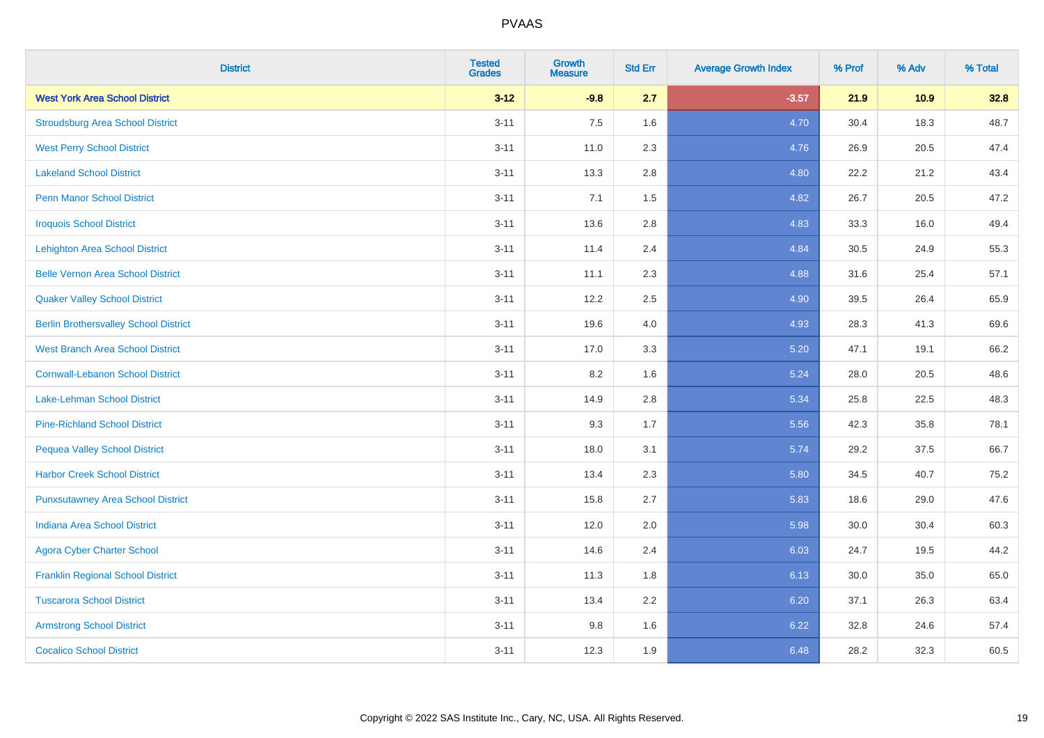| <b>District</b>                              | <b>Tested</b><br><b>Grades</b> | <b>Growth</b><br><b>Measure</b> | <b>Std Err</b> | <b>Average Growth Index</b> | % Prof | % Adv | % Total |
|----------------------------------------------|--------------------------------|---------------------------------|----------------|-----------------------------|--------|-------|---------|
| <b>West York Area School District</b>        | $3 - 12$                       | $-9.8$                          | 2.7            | $-3.57$                     | 21.9   | 10.9  | 32.8    |
| <b>Stroudsburg Area School District</b>      | $3 - 11$                       | 7.5                             | 1.6            | 4.70                        | 30.4   | 18.3  | 48.7    |
| <b>West Perry School District</b>            | $3 - 11$                       | 11.0                            | 2.3            | 4.76                        | 26.9   | 20.5  | 47.4    |
| <b>Lakeland School District</b>              | $3 - 11$                       | 13.3                            | 2.8            | 4.80                        | 22.2   | 21.2  | 43.4    |
| <b>Penn Manor School District</b>            | $3 - 11$                       | 7.1                             | 1.5            | 4.82                        | 26.7   | 20.5  | 47.2    |
| <b>Iroquois School District</b>              | $3 - 11$                       | 13.6                            | 2.8            | 4.83                        | 33.3   | 16.0  | 49.4    |
| <b>Lehighton Area School District</b>        | $3 - 11$                       | 11.4                            | 2.4            | 4.84                        | 30.5   | 24.9  | 55.3    |
| <b>Belle Vernon Area School District</b>     | $3 - 11$                       | 11.1                            | 2.3            | 4.88                        | 31.6   | 25.4  | 57.1    |
| <b>Quaker Valley School District</b>         | $3 - 11$                       | 12.2                            | 2.5            | 4.90                        | 39.5   | 26.4  | 65.9    |
| <b>Berlin Brothersvalley School District</b> | $3 - 11$                       | 19.6                            | 4.0            | 4.93                        | 28.3   | 41.3  | 69.6    |
| <b>West Branch Area School District</b>      | $3 - 11$                       | 17.0                            | 3.3            | 5.20                        | 47.1   | 19.1  | 66.2    |
| <b>Cornwall-Lebanon School District</b>      | $3 - 11$                       | 8.2                             | 1.6            | 5.24                        | 28.0   | 20.5  | 48.6    |
| Lake-Lehman School District                  | $3 - 11$                       | 14.9                            | 2.8            | 5.34                        | 25.8   | 22.5  | 48.3    |
| <b>Pine-Richland School District</b>         | $3 - 11$                       | 9.3                             | 1.7            | 5.56                        | 42.3   | 35.8  | 78.1    |
| <b>Pequea Valley School District</b>         | $3 - 11$                       | 18.0                            | 3.1            | 5.74                        | 29.2   | 37.5  | 66.7    |
| <b>Harbor Creek School District</b>          | $3 - 11$                       | 13.4                            | 2.3            | 5.80                        | 34.5   | 40.7  | 75.2    |
| <b>Punxsutawney Area School District</b>     | $3 - 11$                       | 15.8                            | 2.7            | 5.83                        | 18.6   | 29.0  | 47.6    |
| <b>Indiana Area School District</b>          | $3 - 11$                       | 12.0                            | 2.0            | 5.98                        | 30.0   | 30.4  | 60.3    |
| <b>Agora Cyber Charter School</b>            | $3 - 11$                       | 14.6                            | 2.4            | 6.03                        | 24.7   | 19.5  | 44.2    |
| <b>Franklin Regional School District</b>     | $3 - 11$                       | 11.3                            | 1.8            | 6.13                        | 30.0   | 35.0  | 65.0    |
| <b>Tuscarora School District</b>             | $3 - 11$                       | 13.4                            | 2.2            | 6.20                        | 37.1   | 26.3  | 63.4    |
| <b>Armstrong School District</b>             | $3 - 11$                       | 9.8                             | 1.6            | 6.22                        | 32.8   | 24.6  | 57.4    |
| <b>Cocalico School District</b>              | $3 - 11$                       | 12.3                            | 1.9            | 6.48                        | 28.2   | 32.3  | 60.5    |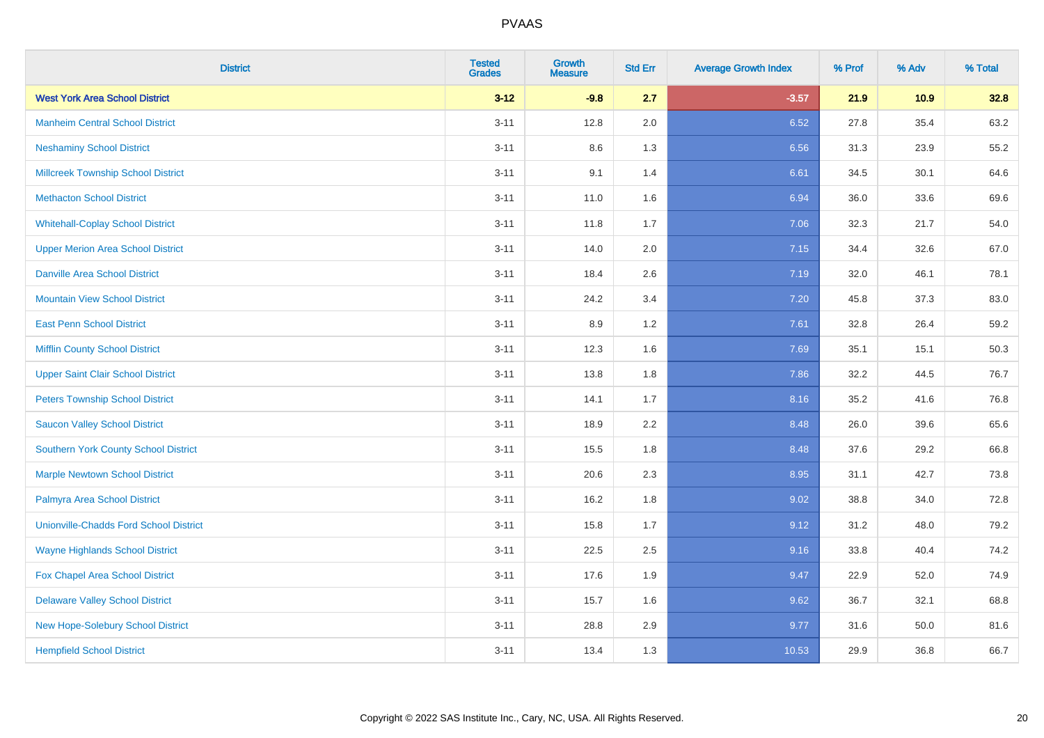| <b>District</b>                               | <b>Tested</b><br><b>Grades</b> | <b>Growth</b><br><b>Measure</b> | <b>Std Err</b> | <b>Average Growth Index</b> | % Prof | % Adv | % Total |
|-----------------------------------------------|--------------------------------|---------------------------------|----------------|-----------------------------|--------|-------|---------|
| <b>West York Area School District</b>         | $3 - 12$                       | $-9.8$                          | 2.7            | $-3.57$                     | 21.9   | 10.9  | 32.8    |
| <b>Manheim Central School District</b>        | $3 - 11$                       | 12.8                            | 2.0            | 6.52                        | 27.8   | 35.4  | 63.2    |
| <b>Neshaminy School District</b>              | $3 - 11$                       | 8.6                             | 1.3            | 6.56                        | 31.3   | 23.9  | 55.2    |
| <b>Millcreek Township School District</b>     | $3 - 11$                       | 9.1                             | 1.4            | 6.61                        | 34.5   | 30.1  | 64.6    |
| <b>Methacton School District</b>              | $3 - 11$                       | 11.0                            | 1.6            | 6.94                        | 36.0   | 33.6  | 69.6    |
| <b>Whitehall-Coplay School District</b>       | $3 - 11$                       | 11.8                            | 1.7            | 7.06                        | 32.3   | 21.7  | 54.0    |
| <b>Upper Merion Area School District</b>      | $3 - 11$                       | 14.0                            | 2.0            | 7.15                        | 34.4   | 32.6  | 67.0    |
| <b>Danville Area School District</b>          | $3 - 11$                       | 18.4                            | 2.6            | 7.19                        | 32.0   | 46.1  | 78.1    |
| <b>Mountain View School District</b>          | $3 - 11$                       | 24.2                            | 3.4            | 7.20                        | 45.8   | 37.3  | 83.0    |
| <b>East Penn School District</b>              | $3 - 11$                       | 8.9                             | $1.2\,$        | 7.61                        | 32.8   | 26.4  | 59.2    |
| <b>Mifflin County School District</b>         | $3 - 11$                       | 12.3                            | 1.6            | 7.69                        | 35.1   | 15.1  | 50.3    |
| <b>Upper Saint Clair School District</b>      | $3 - 11$                       | 13.8                            | 1.8            | 7.86                        | 32.2   | 44.5  | 76.7    |
| <b>Peters Township School District</b>        | $3 - 11$                       | 14.1                            | 1.7            | 8.16                        | 35.2   | 41.6  | 76.8    |
| <b>Saucon Valley School District</b>          | $3 - 11$                       | 18.9                            | 2.2            | 8.48                        | 26.0   | 39.6  | 65.6    |
| <b>Southern York County School District</b>   | $3 - 11$                       | 15.5                            | 1.8            | 8.48                        | 37.6   | 29.2  | 66.8    |
| <b>Marple Newtown School District</b>         | $3 - 11$                       | 20.6                            | 2.3            | 8.95                        | 31.1   | 42.7  | 73.8    |
| Palmyra Area School District                  | $3 - 11$                       | 16.2                            | 1.8            | 9.02                        | 38.8   | 34.0  | 72.8    |
| <b>Unionville-Chadds Ford School District</b> | $3 - 11$                       | 15.8                            | 1.7            | 9.12                        | 31.2   | 48.0  | 79.2    |
| <b>Wayne Highlands School District</b>        | $3 - 11$                       | 22.5                            | 2.5            | 9.16                        | 33.8   | 40.4  | 74.2    |
| Fox Chapel Area School District               | $3 - 11$                       | 17.6                            | 1.9            | 9.47                        | 22.9   | 52.0  | 74.9    |
| <b>Delaware Valley School District</b>        | $3 - 11$                       | 15.7                            | 1.6            | 9.62                        | 36.7   | 32.1  | 68.8    |
| New Hope-Solebury School District             | $3 - 11$                       | 28.8                            | 2.9            | 9.77                        | 31.6   | 50.0  | 81.6    |
| <b>Hempfield School District</b>              | $3 - 11$                       | 13.4                            | 1.3            | 10.53                       | 29.9   | 36.8  | 66.7    |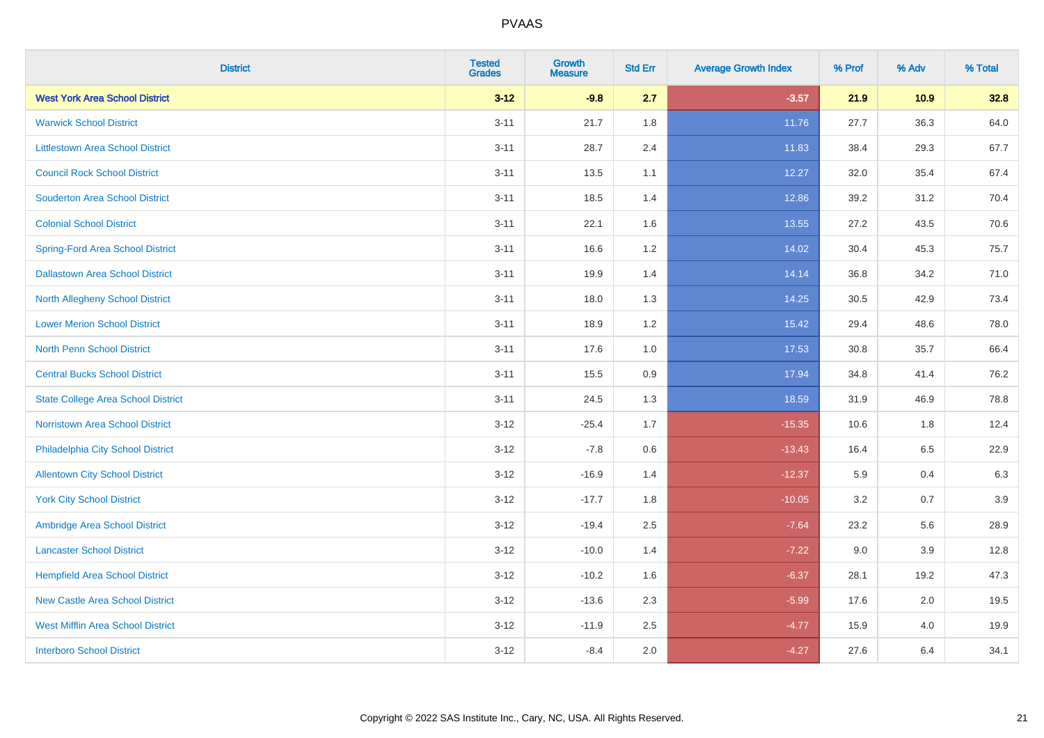| <b>District</b>                           | <b>Tested</b><br><b>Grades</b> | <b>Growth</b><br><b>Measure</b> | <b>Std Err</b> | <b>Average Growth Index</b> | % Prof | % Adv | % Total |
|-------------------------------------------|--------------------------------|---------------------------------|----------------|-----------------------------|--------|-------|---------|
| <b>West York Area School District</b>     | $3 - 12$                       | $-9.8$                          | 2.7            | $-3.57$                     | 21.9   | 10.9  | 32.8    |
| <b>Warwick School District</b>            | $3 - 11$                       | 21.7                            | 1.8            | 11.76                       | 27.7   | 36.3  | 64.0    |
| <b>Littlestown Area School District</b>   | $3 - 11$                       | 28.7                            | 2.4            | 11.83                       | 38.4   | 29.3  | 67.7    |
| <b>Council Rock School District</b>       | $3 - 11$                       | 13.5                            | 1.1            | 12.27                       | 32.0   | 35.4  | 67.4    |
| <b>Souderton Area School District</b>     | $3 - 11$                       | 18.5                            | 1.4            | 12.86                       | 39.2   | 31.2  | 70.4    |
| <b>Colonial School District</b>           | $3 - 11$                       | 22.1                            | 1.6            | 13.55                       | 27.2   | 43.5  | 70.6    |
| <b>Spring-Ford Area School District</b>   | $3 - 11$                       | 16.6                            | 1.2            | 14.02                       | 30.4   | 45.3  | 75.7    |
| <b>Dallastown Area School District</b>    | $3 - 11$                       | 19.9                            | 1.4            | 14.14                       | 36.8   | 34.2  | 71.0    |
| <b>North Allegheny School District</b>    | $3 - 11$                       | 18.0                            | 1.3            | 14.25                       | 30.5   | 42.9  | 73.4    |
| <b>Lower Merion School District</b>       | $3 - 11$                       | 18.9                            | 1.2            | 15.42                       | 29.4   | 48.6  | 78.0    |
| <b>North Penn School District</b>         | $3 - 11$                       | 17.6                            | 1.0            | 17.53                       | 30.8   | 35.7  | 66.4    |
| <b>Central Bucks School District</b>      | $3 - 11$                       | 15.5                            | 0.9            | 17.94                       | 34.8   | 41.4  | 76.2    |
| <b>State College Area School District</b> | $3 - 11$                       | 24.5                            | 1.3            | 18.59                       | 31.9   | 46.9  | 78.8    |
| Norristown Area School District           | $3 - 12$                       | $-25.4$                         | 1.7            | $-15.35$                    | 10.6   | 1.8   | 12.4    |
| Philadelphia City School District         | $3 - 12$                       | $-7.8$                          | $0.6\,$        | $-13.43$                    | 16.4   | 6.5   | 22.9    |
| <b>Allentown City School District</b>     | $3 - 12$                       | $-16.9$                         | 1.4            | $-12.37$                    | 5.9    | 0.4   | 6.3     |
| <b>York City School District</b>          | $3 - 12$                       | $-17.7$                         | 1.8            | $-10.05$                    | 3.2    | 0.7   | 3.9     |
| Ambridge Area School District             | $3 - 12$                       | $-19.4$                         | 2.5            | $-7.64$                     | 23.2   | 5.6   | 28.9    |
| <b>Lancaster School District</b>          | $3-12$                         | $-10.0$                         | 1.4            | $-7.22$                     | 9.0    | 3.9   | 12.8    |
| <b>Hempfield Area School District</b>     | $3-12$                         | $-10.2$                         | 1.6            | $-6.37$                     | 28.1   | 19.2  | 47.3    |
| <b>New Castle Area School District</b>    | $3 - 12$                       | $-13.6$                         | 2.3            | $-5.99$                     | 17.6   | 2.0   | 19.5    |
| <b>West Mifflin Area School District</b>  | $3 - 12$                       | $-11.9$                         | 2.5            | $-4.77$                     | 15.9   | 4.0   | 19.9    |
| <b>Interboro School District</b>          | $3-12$                         | $-8.4$                          | 2.0            | $-4.27$                     | 27.6   | 6.4   | 34.1    |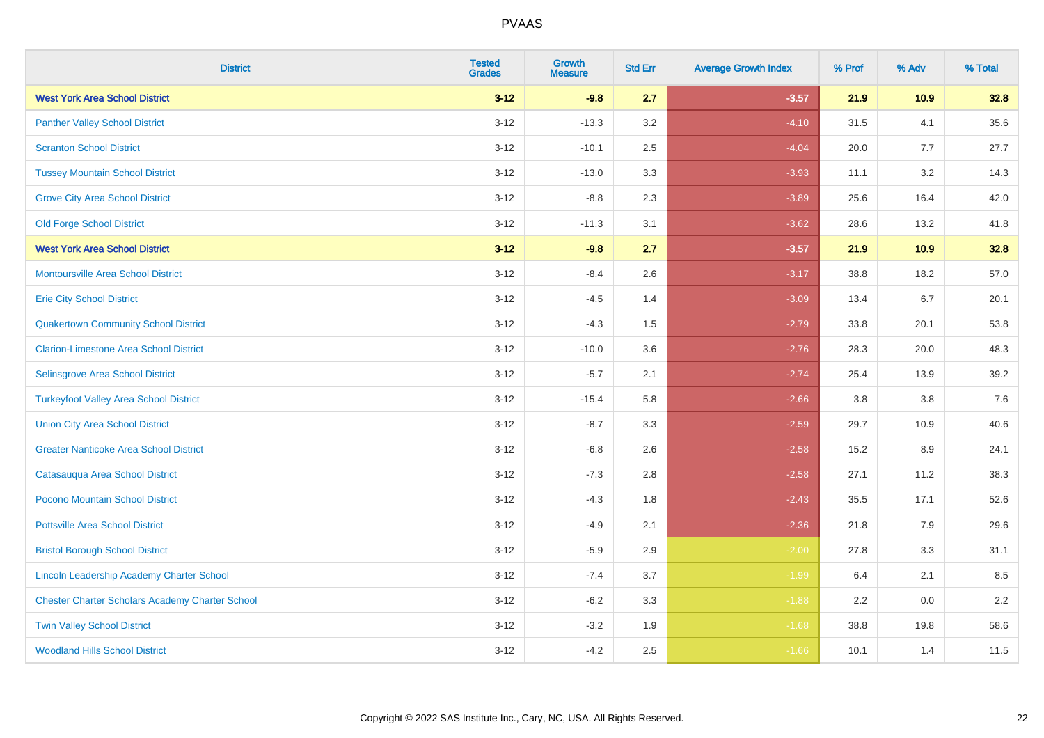| <b>District</b>                                        | <b>Tested</b><br><b>Grades</b> | <b>Growth</b><br><b>Measure</b> | <b>Std Err</b> | <b>Average Growth Index</b> | % Prof | % Adv   | % Total |
|--------------------------------------------------------|--------------------------------|---------------------------------|----------------|-----------------------------|--------|---------|---------|
| <b>West York Area School District</b>                  | $3 - 12$                       | $-9.8$                          | 2.7            | $-3.57$                     | 21.9   | 10.9    | 32.8    |
| <b>Panther Valley School District</b>                  | $3 - 12$                       | $-13.3$                         | 3.2            | $-4.10$                     | 31.5   | 4.1     | 35.6    |
| <b>Scranton School District</b>                        | $3 - 12$                       | $-10.1$                         | 2.5            | $-4.04$                     | 20.0   | 7.7     | 27.7    |
| <b>Tussey Mountain School District</b>                 | $3 - 12$                       | $-13.0$                         | 3.3            | $-3.93$                     | 11.1   | 3.2     | 14.3    |
| <b>Grove City Area School District</b>                 | $3 - 12$                       | $-8.8$                          | 2.3            | $-3.89$                     | 25.6   | 16.4    | 42.0    |
| <b>Old Forge School District</b>                       | $3 - 12$                       | $-11.3$                         | 3.1            | $-3.62$                     | 28.6   | 13.2    | 41.8    |
| <b>West York Area School District</b>                  | $3 - 12$                       | $-9.8$                          | 2.7            | $-3.57$                     | 21.9   | 10.9    | 32.8    |
| <b>Montoursville Area School District</b>              | $3 - 12$                       | $-8.4$                          | 2.6            | $-3.17$                     | 38.8   | 18.2    | 57.0    |
| <b>Erie City School District</b>                       | $3 - 12$                       | $-4.5$                          | 1.4            | $-3.09$                     | 13.4   | 6.7     | 20.1    |
| <b>Quakertown Community School District</b>            | $3-12$                         | $-4.3$                          | 1.5            | $-2.79$                     | 33.8   | 20.1    | 53.8    |
| <b>Clarion-Limestone Area School District</b>          | $3-12$                         | $-10.0$                         | 3.6            | $-2.76$                     | 28.3   | 20.0    | 48.3    |
| Selinsgrove Area School District                       | $3 - 12$                       | $-5.7$                          | 2.1            | $-2.74$                     | 25.4   | 13.9    | 39.2    |
| <b>Turkeyfoot Valley Area School District</b>          | $3 - 12$                       | $-15.4$                         | 5.8            | $-2.66$                     | 3.8    | $3.8\,$ | 7.6     |
| <b>Union City Area School District</b>                 | $3 - 12$                       | $-8.7$                          | 3.3            | $-2.59$                     | 29.7   | 10.9    | 40.6    |
| <b>Greater Nanticoke Area School District</b>          | $3 - 12$                       | $-6.8$                          | 2.6            | $-2.58$                     | 15.2   | 8.9     | 24.1    |
| Catasauqua Area School District                        | $3 - 12$                       | $-7.3$                          | 2.8            | $-2.58$                     | 27.1   | 11.2    | 38.3    |
| Pocono Mountain School District                        | $3 - 12$                       | $-4.3$                          | 1.8            | $-2.43$                     | 35.5   | 17.1    | 52.6    |
| <b>Pottsville Area School District</b>                 | $3 - 12$                       | $-4.9$                          | 2.1            | $-2.36$                     | 21.8   | 7.9     | 29.6    |
| <b>Bristol Borough School District</b>                 | $3-12$                         | $-5.9$                          | 2.9            | $-2.00$                     | 27.8   | 3.3     | 31.1    |
| <b>Lincoln Leadership Academy Charter School</b>       | $3 - 12$                       | $-7.4$                          | 3.7            | $-1.99$                     | 6.4    | 2.1     | 8.5     |
| <b>Chester Charter Scholars Academy Charter School</b> | $3 - 12$                       | $-6.2$                          | 3.3            | $-1.88$                     | 2.2    | 0.0     | 2.2     |
| <b>Twin Valley School District</b>                     | $3 - 12$                       | $-3.2$                          | 1.9            | $-1.68$                     | 38.8   | 19.8    | 58.6    |
| <b>Woodland Hills School District</b>                  | $3-12$                         | $-4.2$                          | 2.5            | $-1.66$                     | 10.1   | 1.4     | 11.5    |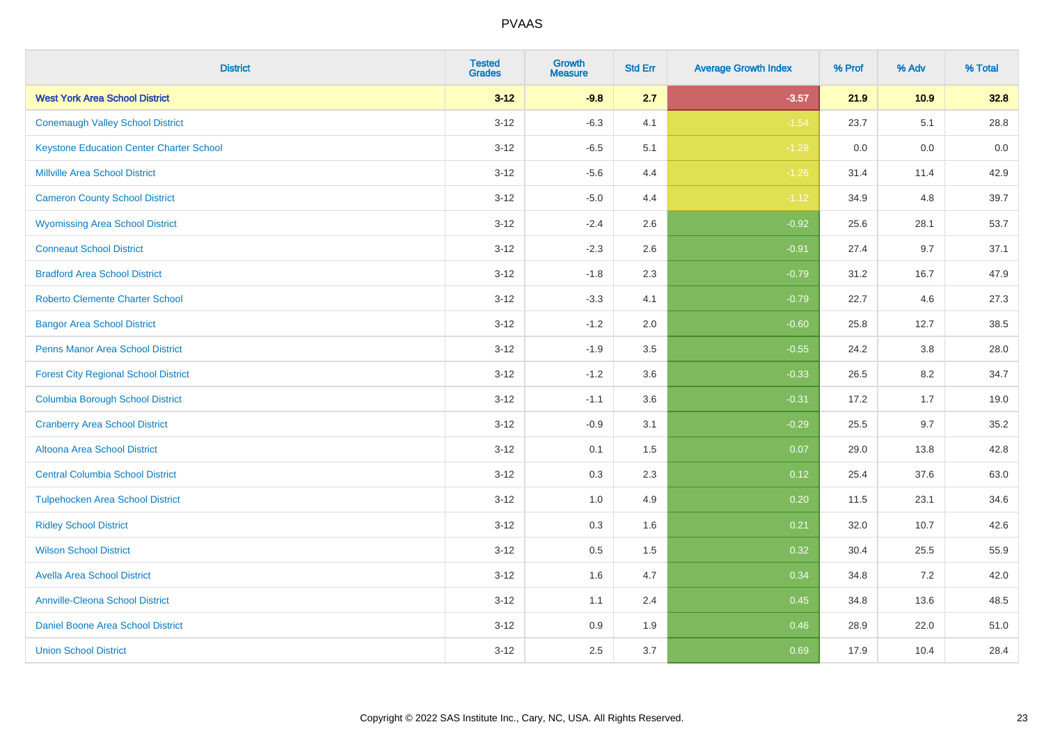| <b>District</b>                                 | <b>Tested</b><br><b>Grades</b> | Growth<br><b>Measure</b> | <b>Std Err</b> | <b>Average Growth Index</b> | % Prof | % Adv | % Total |
|-------------------------------------------------|--------------------------------|--------------------------|----------------|-----------------------------|--------|-------|---------|
| <b>West York Area School District</b>           | $3 - 12$                       | $-9.8$                   | 2.7            | $-3.57$                     | 21.9   | 10.9  | 32.8    |
| <b>Conemaugh Valley School District</b>         | $3 - 12$                       | $-6.3$                   | 4.1            | $-1.54$                     | 23.7   | 5.1   | 28.8    |
| <b>Keystone Education Center Charter School</b> | $3 - 12$                       | $-6.5$                   | 5.1            | $-1.28$                     | 0.0    | 0.0   | $0.0\,$ |
| <b>Millville Area School District</b>           | $3 - 12$                       | $-5.6$                   | 4.4            | $-1.26$                     | 31.4   | 11.4  | 42.9    |
| <b>Cameron County School District</b>           | $3 - 12$                       | $-5.0$                   | 4.4            | $-1.12$                     | 34.9   | 4.8   | 39.7    |
| <b>Wyomissing Area School District</b>          | $3 - 12$                       | $-2.4$                   | 2.6            | $-0.92$                     | 25.6   | 28.1  | 53.7    |
| <b>Conneaut School District</b>                 | $3-12$                         | $-2.3$                   | 2.6            | $-0.91$                     | 27.4   | 9.7   | 37.1    |
| <b>Bradford Area School District</b>            | $3-12$                         | $-1.8$                   | 2.3            | $-0.79$                     | 31.2   | 16.7  | 47.9    |
| <b>Roberto Clemente Charter School</b>          | $3 - 12$                       | $-3.3$                   | 4.1            | $-0.79$                     | 22.7   | 4.6   | 27.3    |
| <b>Bangor Area School District</b>              | $3 - 12$                       | $-1.2$                   | 2.0            | $-0.60$                     | 25.8   | 12.7  | 38.5    |
| <b>Penns Manor Area School District</b>         | $3-12$                         | $-1.9$                   | 3.5            | $-0.55$                     | 24.2   | 3.8   | 28.0    |
| <b>Forest City Regional School District</b>     | $3 - 12$                       | $-1.2$                   | 3.6            | $-0.33$                     | 26.5   | 8.2   | 34.7    |
| <b>Columbia Borough School District</b>         | $3 - 12$                       | $-1.1$                   | 3.6            | $-0.31$                     | 17.2   | 1.7   | 19.0    |
| <b>Cranberry Area School District</b>           | $3 - 12$                       | $-0.9$                   | 3.1            | $-0.29$                     | 25.5   | 9.7   | 35.2    |
| Altoona Area School District                    | $3 - 12$                       | 0.1                      | 1.5            | 0.07                        | 29.0   | 13.8  | 42.8    |
| <b>Central Columbia School District</b>         | $3-12$                         | 0.3                      | 2.3            | 0.12                        | 25.4   | 37.6  | 63.0    |
| <b>Tulpehocken Area School District</b>         | $3 - 12$                       | 1.0                      | 4.9            | 0.20                        | 11.5   | 23.1  | 34.6    |
| <b>Ridley School District</b>                   | $3-12$                         | 0.3                      | 1.6            | 0.21                        | 32.0   | 10.7  | 42.6    |
| <b>Wilson School District</b>                   | $3 - 12$                       | 0.5                      | 1.5            | 0.32                        | 30.4   | 25.5  | 55.9    |
| <b>Avella Area School District</b>              | $3 - 12$                       | 1.6                      | 4.7            | 0.34                        | 34.8   | 7.2   | 42.0    |
| <b>Annville-Cleona School District</b>          | $3 - 12$                       | 1.1                      | 2.4            | 0.45                        | 34.8   | 13.6  | 48.5    |
| Daniel Boone Area School District               | $3-12$                         | 0.9                      | 1.9            | 0.46                        | 28.9   | 22.0  | 51.0    |
| <b>Union School District</b>                    | $3 - 12$                       | 2.5                      | 3.7            | 0.69                        | 17.9   | 10.4  | 28.4    |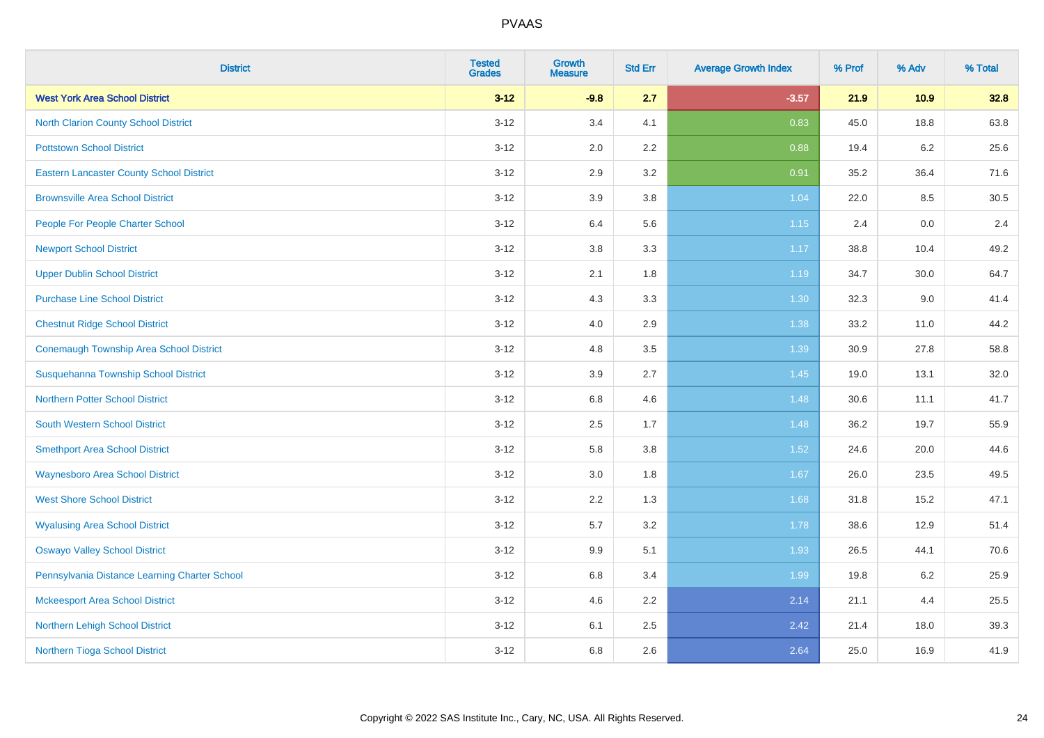| <b>District</b>                                 | <b>Tested</b><br><b>Grades</b> | <b>Growth</b><br><b>Measure</b> | <b>Std Err</b> | <b>Average Growth Index</b> | % Prof | % Adv   | % Total |
|-------------------------------------------------|--------------------------------|---------------------------------|----------------|-----------------------------|--------|---------|---------|
| <b>West York Area School District</b>           | $3 - 12$                       | $-9.8$                          | 2.7            | $-3.57$                     | 21.9   | 10.9    | 32.8    |
| North Clarion County School District            | $3 - 12$                       | 3.4                             | 4.1            | 0.83                        | 45.0   | 18.8    | 63.8    |
| <b>Pottstown School District</b>                | $3 - 12$                       | 2.0                             | 2.2            | 0.88                        | 19.4   | $6.2\,$ | 25.6    |
| <b>Eastern Lancaster County School District</b> | $3 - 12$                       | 2.9                             | 3.2            | 0.91                        | 35.2   | 36.4    | 71.6    |
| <b>Brownsville Area School District</b>         | $3 - 12$                       | 3.9                             | 3.8            | 1.04                        | 22.0   | 8.5     | 30.5    |
| People For People Charter School                | $3 - 12$                       | 6.4                             | 5.6            | 1.15                        | 2.4    | 0.0     | 2.4     |
| <b>Newport School District</b>                  | $3 - 12$                       | $3.8\,$                         | 3.3            | 1.17                        | 38.8   | 10.4    | 49.2    |
| <b>Upper Dublin School District</b>             | $3 - 12$                       | 2.1                             | 1.8            | 1.19                        | 34.7   | 30.0    | 64.7    |
| <b>Purchase Line School District</b>            | $3 - 12$                       | 4.3                             | 3.3            | 1.30                        | 32.3   | 9.0     | 41.4    |
| <b>Chestnut Ridge School District</b>           | $3-12$                         | 4.0                             | 2.9            | 1.38                        | 33.2   | 11.0    | 44.2    |
| <b>Conemaugh Township Area School District</b>  | $3 - 12$                       | 4.8                             | 3.5            | 1.39                        | 30.9   | 27.8    | 58.8    |
| Susquehanna Township School District            | $3 - 12$                       | 3.9                             | 2.7            | 1.45                        | 19.0   | 13.1    | 32.0    |
| <b>Northern Potter School District</b>          | $3 - 12$                       | 6.8                             | 4.6            | 1.48                        | 30.6   | 11.1    | 41.7    |
| <b>South Western School District</b>            | $3 - 12$                       | 2.5                             | 1.7            | 1.48                        | 36.2   | 19.7    | 55.9    |
| <b>Smethport Area School District</b>           | $3 - 12$                       | 5.8                             | 3.8            | 1.52                        | 24.6   | 20.0    | 44.6    |
| <b>Waynesboro Area School District</b>          | $3 - 12$                       | 3.0                             | 1.8            | 1.67                        | 26.0   | 23.5    | 49.5    |
| <b>West Shore School District</b>               | $3 - 12$                       | 2.2                             | 1.3            | 1.68                        | 31.8   | 15.2    | 47.1    |
| <b>Wyalusing Area School District</b>           | $3 - 12$                       | 5.7                             | 3.2            | 1.78                        | 38.6   | 12.9    | 51.4    |
| <b>Oswayo Valley School District</b>            | $3 - 12$                       | 9.9                             | 5.1            | 1.93                        | 26.5   | 44.1    | 70.6    |
| Pennsylvania Distance Learning Charter School   | $3 - 12$                       | 6.8                             | 3.4            | 1.99                        | 19.8   | $6.2\,$ | 25.9    |
| <b>Mckeesport Area School District</b>          | $3-12$                         | 4.6                             | 2.2            | 2.14                        | 21.1   | 4.4     | 25.5    |
| Northern Lehigh School District                 | $3 - 12$                       | 6.1                             | 2.5            | 2.42                        | 21.4   | 18.0    | 39.3    |
| Northern Tioga School District                  | $3 - 12$                       | 6.8                             | 2.6            | 2.64                        | 25.0   | 16.9    | 41.9    |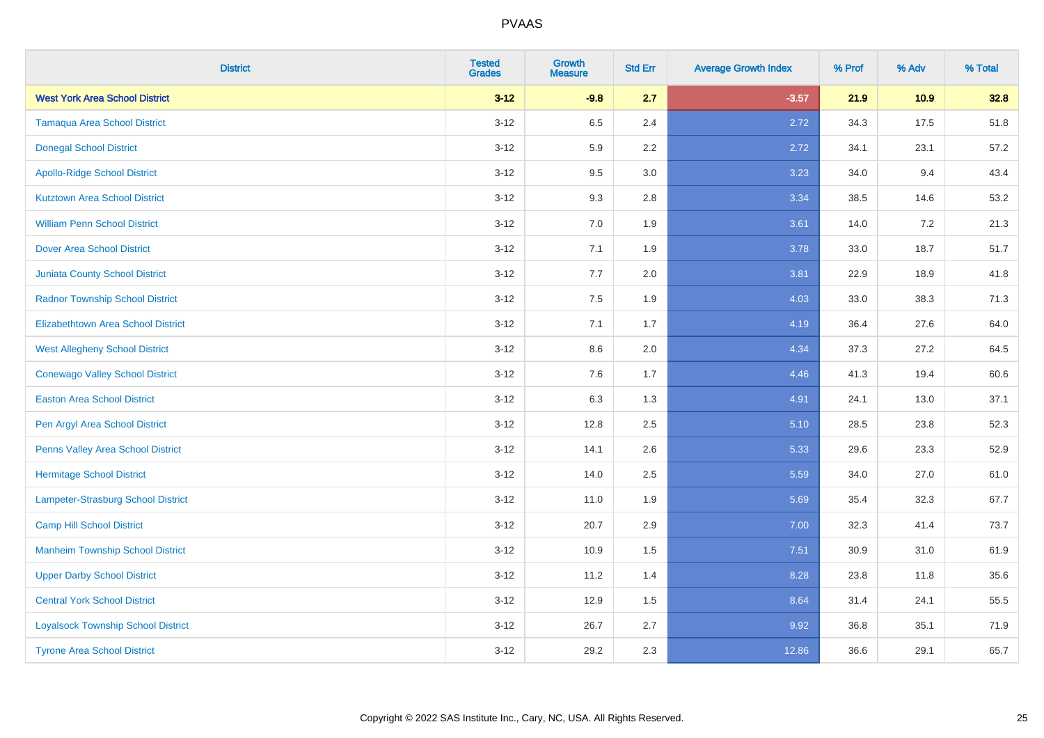| <b>District</b>                           | <b>Tested</b><br><b>Grades</b> | <b>Growth</b><br><b>Measure</b> | <b>Std Err</b> | <b>Average Growth Index</b> | % Prof | % Adv | % Total |
|-------------------------------------------|--------------------------------|---------------------------------|----------------|-----------------------------|--------|-------|---------|
| <b>West York Area School District</b>     | $3 - 12$                       | $-9.8$                          | 2.7            | $-3.57$                     | 21.9   | 10.9  | 32.8    |
| <b>Tamaqua Area School District</b>       | $3 - 12$                       | 6.5                             | 2.4            | 2.72                        | 34.3   | 17.5  | 51.8    |
| <b>Donegal School District</b>            | $3 - 12$                       | 5.9                             | 2.2            | 2.72                        | 34.1   | 23.1  | 57.2    |
| <b>Apollo-Ridge School District</b>       | $3 - 12$                       | 9.5                             | 3.0            | 3.23                        | 34.0   | 9.4   | 43.4    |
| <b>Kutztown Area School District</b>      | $3 - 12$                       | 9.3                             | 2.8            | 3.34                        | 38.5   | 14.6  | 53.2    |
| <b>William Penn School District</b>       | $3 - 12$                       | 7.0                             | 1.9            | 3.61                        | 14.0   | 7.2   | 21.3    |
| Dover Area School District                | $3 - 12$                       | 7.1                             | 1.9            | 3.78                        | 33.0   | 18.7  | 51.7    |
| <b>Juniata County School District</b>     | $3 - 12$                       | 7.7                             | 2.0            | 3.81                        | 22.9   | 18.9  | 41.8    |
| <b>Radnor Township School District</b>    | $3 - 12$                       | 7.5                             | 1.9            | 4.03                        | 33.0   | 38.3  | 71.3    |
| <b>Elizabethtown Area School District</b> | $3 - 12$                       | 7.1                             | 1.7            | 4.19                        | 36.4   | 27.6  | 64.0    |
| <b>West Allegheny School District</b>     | $3 - 12$                       | 8.6                             | 2.0            | 4.34                        | 37.3   | 27.2  | 64.5    |
| <b>Conewago Valley School District</b>    | $3 - 12$                       | 7.6                             | 1.7            | 4.46                        | 41.3   | 19.4  | 60.6    |
| <b>Easton Area School District</b>        | $3 - 12$                       | 6.3                             | 1.3            | 4.91                        | 24.1   | 13.0  | 37.1    |
| Pen Argyl Area School District            | $3 - 12$                       | 12.8                            | 2.5            | 5.10                        | 28.5   | 23.8  | 52.3    |
| Penns Valley Area School District         | $3 - 12$                       | 14.1                            | 2.6            | 5.33                        | 29.6   | 23.3  | 52.9    |
| <b>Hermitage School District</b>          | $3 - 12$                       | 14.0                            | 2.5            | 5.59                        | 34.0   | 27.0  | 61.0    |
| Lampeter-Strasburg School District        | $3 - 12$                       | 11.0                            | 1.9            | 5.69                        | 35.4   | 32.3  | 67.7    |
| <b>Camp Hill School District</b>          | $3 - 12$                       | 20.7                            | 2.9            | 7.00                        | 32.3   | 41.4  | 73.7    |
| <b>Manheim Township School District</b>   | $3 - 12$                       | 10.9                            | 1.5            | 7.51                        | 30.9   | 31.0  | 61.9    |
| <b>Upper Darby School District</b>        | $3 - 12$                       | 11.2                            | 1.4            | 8.28                        | 23.8   | 11.8  | 35.6    |
| <b>Central York School District</b>       | $3 - 12$                       | 12.9                            | 1.5            | 8.64                        | 31.4   | 24.1  | 55.5    |
| <b>Loyalsock Township School District</b> | $3 - 12$                       | 26.7                            | 2.7            | 9.92                        | 36.8   | 35.1  | 71.9    |
| <b>Tyrone Area School District</b>        | $3-12$                         | 29.2                            | 2.3            | 12.86                       | 36.6   | 29.1  | 65.7    |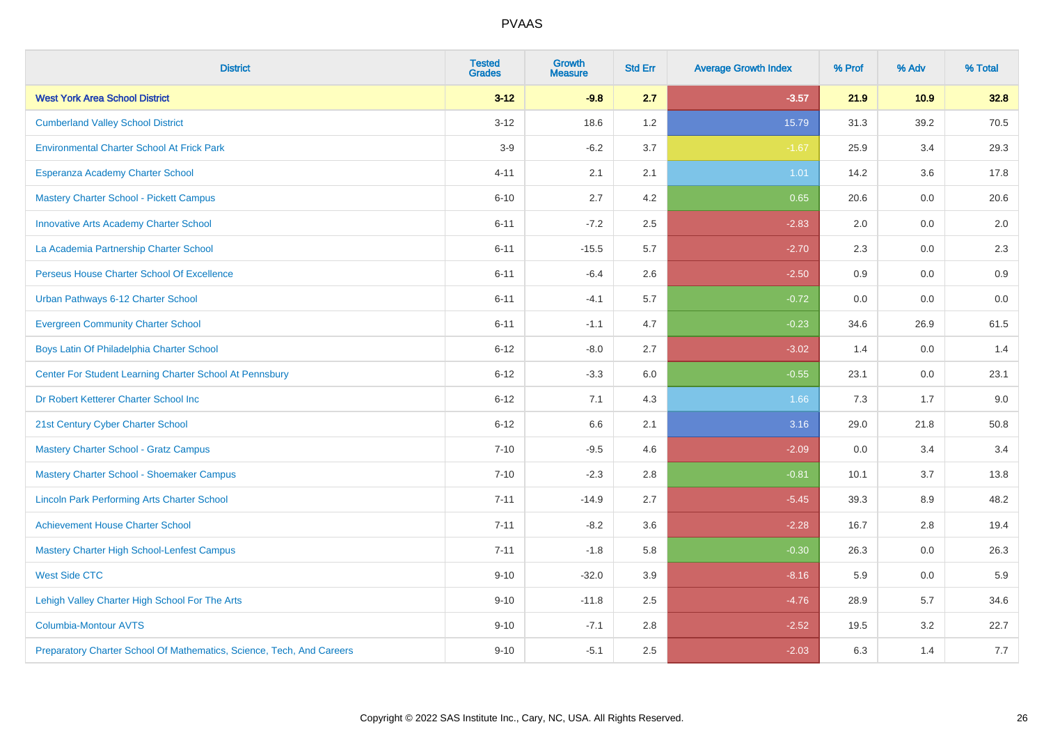| <b>District</b>                                                       | <b>Tested</b><br><b>Grades</b> | <b>Growth</b><br><b>Measure</b> | <b>Std Err</b> | <b>Average Growth Index</b> | % Prof | % Adv | % Total |
|-----------------------------------------------------------------------|--------------------------------|---------------------------------|----------------|-----------------------------|--------|-------|---------|
| <b>West York Area School District</b>                                 | $3 - 12$                       | $-9.8$                          | 2.7            | $-3.57$                     | 21.9   | 10.9  | 32.8    |
| <b>Cumberland Valley School District</b>                              | $3 - 12$                       | 18.6                            | 1.2            | 15.79                       | 31.3   | 39.2  | 70.5    |
| <b>Environmental Charter School At Frick Park</b>                     | $3-9$                          | $-6.2$                          | 3.7            | $-1.67$                     | 25.9   | 3.4   | 29.3    |
| Esperanza Academy Charter School                                      | $4 - 11$                       | 2.1                             | 2.1            | 1.01                        | 14.2   | 3.6   | 17.8    |
| <b>Mastery Charter School - Pickett Campus</b>                        | $6 - 10$                       | 2.7                             | 4.2            | 0.65                        | 20.6   | 0.0   | 20.6    |
| <b>Innovative Arts Academy Charter School</b>                         | $6 - 11$                       | $-7.2$                          | 2.5            | $-2.83$                     | 2.0    | 0.0   | $2.0\,$ |
| La Academia Partnership Charter School                                | $6 - 11$                       | $-15.5$                         | 5.7            | $-2.70$                     | 2.3    | 0.0   | 2.3     |
| Perseus House Charter School Of Excellence                            | $6 - 11$                       | $-6.4$                          | 2.6            | $-2.50$                     | 0.9    | 0.0   | 0.9     |
| Urban Pathways 6-12 Charter School                                    | $6 - 11$                       | $-4.1$                          | 5.7            | $-0.72$                     | 0.0    | 0.0   | $0.0\,$ |
| <b>Evergreen Community Charter School</b>                             | $6 - 11$                       | $-1.1$                          | 4.7            | $-0.23$                     | 34.6   | 26.9  | 61.5    |
| Boys Latin Of Philadelphia Charter School                             | $6 - 12$                       | $-8.0$                          | 2.7            | $-3.02$                     | 1.4    | 0.0   | 1.4     |
| Center For Student Learning Charter School At Pennsbury               | $6 - 12$                       | $-3.3$                          | 6.0            | $-0.55$                     | 23.1   | 0.0   | 23.1    |
| Dr Robert Ketterer Charter School Inc                                 | $6 - 12$                       | 7.1                             | 4.3            | 1.66                        | 7.3    | 1.7   | 9.0     |
| 21st Century Cyber Charter School                                     | $6 - 12$                       | 6.6                             | 2.1            | 3.16                        | 29.0   | 21.8  | 50.8    |
| <b>Mastery Charter School - Gratz Campus</b>                          | $7 - 10$                       | $-9.5$                          | 4.6            | $-2.09$                     | 0.0    | 3.4   | 3.4     |
| Mastery Charter School - Shoemaker Campus                             | $7 - 10$                       | $-2.3$                          | 2.8            | $-0.81$                     | 10.1   | 3.7   | 13.8    |
| <b>Lincoln Park Performing Arts Charter School</b>                    | $7 - 11$                       | $-14.9$                         | 2.7            | $-5.45$                     | 39.3   | 8.9   | 48.2    |
| <b>Achievement House Charter School</b>                               | $7 - 11$                       | $-8.2$                          | 3.6            | $-2.28$                     | 16.7   | 2.8   | 19.4    |
| <b>Mastery Charter High School-Lenfest Campus</b>                     | $7 - 11$                       | $-1.8$                          | 5.8            | $-0.30$                     | 26.3   | 0.0   | 26.3    |
| <b>West Side CTC</b>                                                  | $9 - 10$                       | $-32.0$                         | 3.9            | $-8.16$                     | 5.9    | 0.0   | 5.9     |
| Lehigh Valley Charter High School For The Arts                        | $9 - 10$                       | $-11.8$                         | 2.5            | $-4.76$                     | 28.9   | 5.7   | 34.6    |
| <b>Columbia-Montour AVTS</b>                                          | $9 - 10$                       | $-7.1$                          | 2.8            | $-2.52$                     | 19.5   | 3.2   | 22.7    |
| Preparatory Charter School Of Mathematics, Science, Tech, And Careers | $9 - 10$                       | $-5.1$                          | 2.5            | $-2.03$                     | 6.3    | 1.4   | 7.7     |